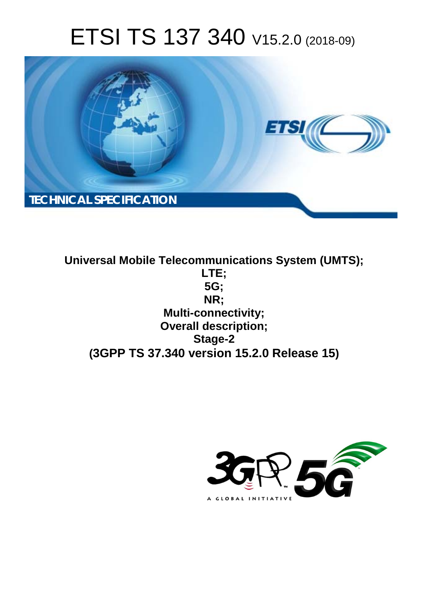# ETSI TS 137 340 V15.2.0 (2018-09)



**Universal Mobile Telecommunications System (UMTS); LTE; 5G; NR; Multi-connectivity; Overall description; Stage-2 (3GPP TS 37.340 version 15.2.0 Release 15)**

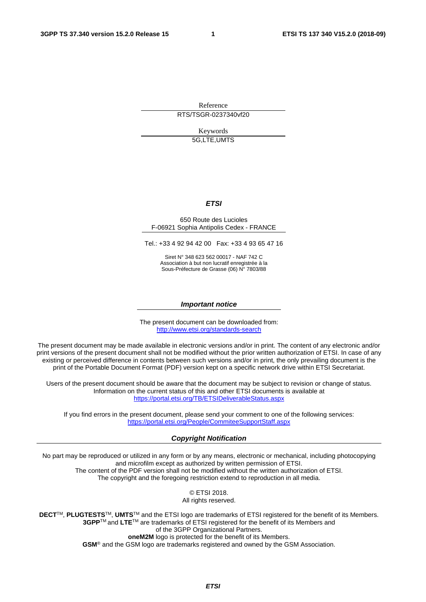Reference RTS/TSGR-0237340vf20

Keywords

5G,LTE,UMTS

#### *ETSI*

#### 650 Route des Lucioles F-06921 Sophia Antipolis Cedex - FRANCE

Tel.: +33 4 92 94 42 00 Fax: +33 4 93 65 47 16

Siret N° 348 623 562 00017 - NAF 742 C Association à but non lucratif enregistrée à la Sous-Préfecture de Grasse (06) N° 7803/88

#### *Important notice*

The present document can be downloaded from: <http://www.etsi.org/standards-search>

The present document may be made available in electronic versions and/or in print. The content of any electronic and/or print versions of the present document shall not be modified without the prior written authorization of ETSI. In case of any existing or perceived difference in contents between such versions and/or in print, the only prevailing document is the print of the Portable Document Format (PDF) version kept on a specific network drive within ETSI Secretariat.

Users of the present document should be aware that the document may be subject to revision or change of status. Information on the current status of this and other ETSI documents is available at <https://portal.etsi.org/TB/ETSIDeliverableStatus.aspx>

If you find errors in the present document, please send your comment to one of the following services: <https://portal.etsi.org/People/CommiteeSupportStaff.aspx>

#### *Copyright Notification*

No part may be reproduced or utilized in any form or by any means, electronic or mechanical, including photocopying and microfilm except as authorized by written permission of ETSI. The content of the PDF version shall not be modified without the written authorization of ETSI. The copyright and the foregoing restriction extend to reproduction in all media.

> © ETSI 2018. All rights reserved.

**DECT**TM, **PLUGTESTS**TM, **UMTS**TM and the ETSI logo are trademarks of ETSI registered for the benefit of its Members. **3GPP**TM and **LTE**TM are trademarks of ETSI registered for the benefit of its Members and of the 3GPP Organizational Partners. **oneM2M** logo is protected for the benefit of its Members.

**GSM**® and the GSM logo are trademarks registered and owned by the GSM Association.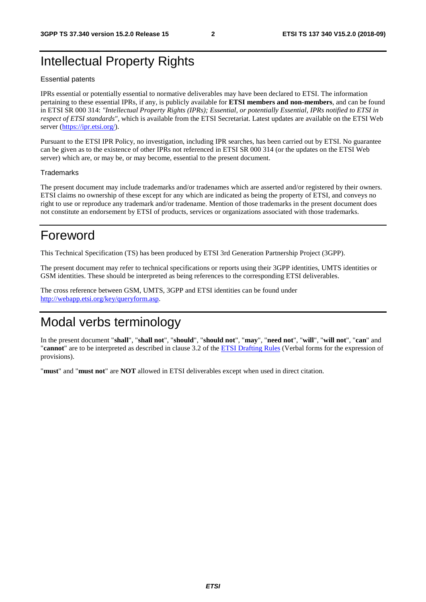# Intellectual Property Rights

#### Essential patents

IPRs essential or potentially essential to normative deliverables may have been declared to ETSI. The information pertaining to these essential IPRs, if any, is publicly available for **ETSI members and non-members**, and can be found in ETSI SR 000 314: *"Intellectual Property Rights (IPRs); Essential, or potentially Essential, IPRs notified to ETSI in respect of ETSI standards"*, which is available from the ETSI Secretariat. Latest updates are available on the ETSI Web server ([https://ipr.etsi.org/\)](https://ipr.etsi.org/).

Pursuant to the ETSI IPR Policy, no investigation, including IPR searches, has been carried out by ETSI. No guarantee can be given as to the existence of other IPRs not referenced in ETSI SR 000 314 (or the updates on the ETSI Web server) which are, or may be, or may become, essential to the present document.

#### **Trademarks**

The present document may include trademarks and/or tradenames which are asserted and/or registered by their owners. ETSI claims no ownership of these except for any which are indicated as being the property of ETSI, and conveys no right to use or reproduce any trademark and/or tradename. Mention of those trademarks in the present document does not constitute an endorsement by ETSI of products, services or organizations associated with those trademarks.

# Foreword

This Technical Specification (TS) has been produced by ETSI 3rd Generation Partnership Project (3GPP).

The present document may refer to technical specifications or reports using their 3GPP identities, UMTS identities or GSM identities. These should be interpreted as being references to the corresponding ETSI deliverables.

The cross reference between GSM, UMTS, 3GPP and ETSI identities can be found under [http://webapp.etsi.org/key/queryform.asp.](http://webapp.etsi.org/key/queryform.asp)

# Modal verbs terminology

In the present document "**shall**", "**shall not**", "**should**", "**should not**", "**may**", "**need not**", "**will**", "**will not**", "**can**" and "**cannot**" are to be interpreted as described in clause 3.2 of the [ETSI Drafting Rules](https://portal.etsi.org/Services/editHelp!/Howtostart/ETSIDraftingRules.aspx) (Verbal forms for the expression of provisions).

"**must**" and "**must not**" are **NOT** allowed in ETSI deliverables except when used in direct citation.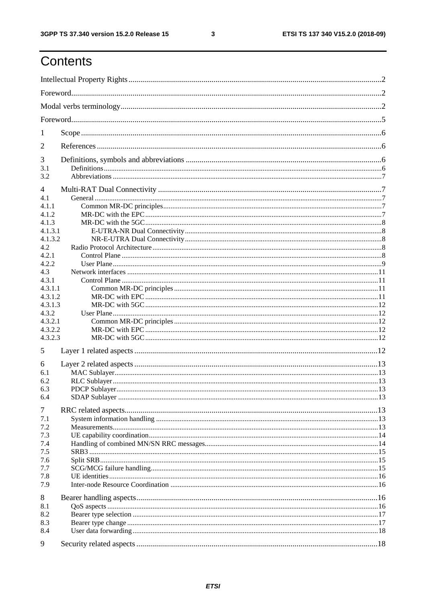# Contents

| 1       |  |  |  |  |  |  |  |  |
|---------|--|--|--|--|--|--|--|--|
| 2       |  |  |  |  |  |  |  |  |
| 3       |  |  |  |  |  |  |  |  |
| 3.1     |  |  |  |  |  |  |  |  |
| 3.2     |  |  |  |  |  |  |  |  |
| 4       |  |  |  |  |  |  |  |  |
| 4.1     |  |  |  |  |  |  |  |  |
| 4.1.1   |  |  |  |  |  |  |  |  |
| 4.1.2   |  |  |  |  |  |  |  |  |
| 4.1.3   |  |  |  |  |  |  |  |  |
| 4.1.3.1 |  |  |  |  |  |  |  |  |
| 4.1.3.2 |  |  |  |  |  |  |  |  |
| 4.2     |  |  |  |  |  |  |  |  |
| 4.2.1   |  |  |  |  |  |  |  |  |
| 4.2.2   |  |  |  |  |  |  |  |  |
| 4.3     |  |  |  |  |  |  |  |  |
| 4.3.1   |  |  |  |  |  |  |  |  |
| 4.3.1.1 |  |  |  |  |  |  |  |  |
| 4.3.1.2 |  |  |  |  |  |  |  |  |
| 4.3.1.3 |  |  |  |  |  |  |  |  |
| 4.3.2   |  |  |  |  |  |  |  |  |
| 4.3.2.1 |  |  |  |  |  |  |  |  |
| 4.3.2.2 |  |  |  |  |  |  |  |  |
| 4.3.2.3 |  |  |  |  |  |  |  |  |
| 5       |  |  |  |  |  |  |  |  |
| 6       |  |  |  |  |  |  |  |  |
| 6.1     |  |  |  |  |  |  |  |  |
| 6.2     |  |  |  |  |  |  |  |  |
| 6.3     |  |  |  |  |  |  |  |  |
| 6.4     |  |  |  |  |  |  |  |  |
| 7       |  |  |  |  |  |  |  |  |
| 7.1     |  |  |  |  |  |  |  |  |
| 7.2     |  |  |  |  |  |  |  |  |
| 7.3     |  |  |  |  |  |  |  |  |
| 7.4     |  |  |  |  |  |  |  |  |
| 7.5     |  |  |  |  |  |  |  |  |
| 7.6     |  |  |  |  |  |  |  |  |
| 7.7     |  |  |  |  |  |  |  |  |
| 7.8     |  |  |  |  |  |  |  |  |
| 7.9     |  |  |  |  |  |  |  |  |
| 8       |  |  |  |  |  |  |  |  |
| 8.1     |  |  |  |  |  |  |  |  |
| 8.2     |  |  |  |  |  |  |  |  |
| 8.3     |  |  |  |  |  |  |  |  |
| 8.4     |  |  |  |  |  |  |  |  |
| 9       |  |  |  |  |  |  |  |  |
|         |  |  |  |  |  |  |  |  |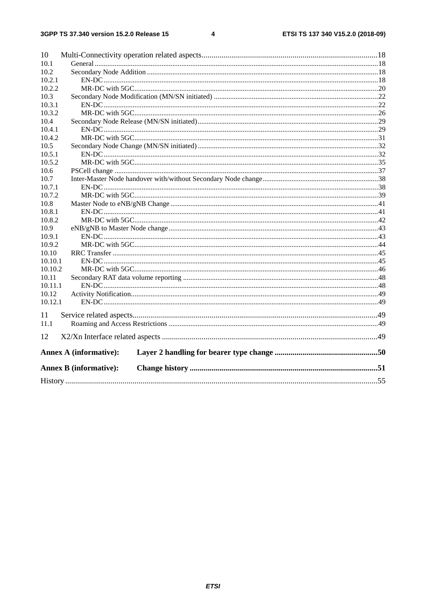#### $\overline{\mathbf{4}}$

| 10      |                               |  |  |  |  |  |  |  |  |  |
|---------|-------------------------------|--|--|--|--|--|--|--|--|--|
| 10.1    |                               |  |  |  |  |  |  |  |  |  |
| 10.2    |                               |  |  |  |  |  |  |  |  |  |
| 10.2.1  |                               |  |  |  |  |  |  |  |  |  |
| 10.2.2  |                               |  |  |  |  |  |  |  |  |  |
| 10.3    |                               |  |  |  |  |  |  |  |  |  |
| 10.3.1  |                               |  |  |  |  |  |  |  |  |  |
| 10.3.2  |                               |  |  |  |  |  |  |  |  |  |
| 10.4    |                               |  |  |  |  |  |  |  |  |  |
| 10.4.1  |                               |  |  |  |  |  |  |  |  |  |
| 10.4.2  |                               |  |  |  |  |  |  |  |  |  |
| 10.5    |                               |  |  |  |  |  |  |  |  |  |
| 10.5.1  |                               |  |  |  |  |  |  |  |  |  |
| 10.5.2  |                               |  |  |  |  |  |  |  |  |  |
| 10.6    |                               |  |  |  |  |  |  |  |  |  |
| 10.7    |                               |  |  |  |  |  |  |  |  |  |
| 10.7.1  |                               |  |  |  |  |  |  |  |  |  |
| 10.7.2  |                               |  |  |  |  |  |  |  |  |  |
| 10.8    |                               |  |  |  |  |  |  |  |  |  |
| 10.8.1  |                               |  |  |  |  |  |  |  |  |  |
| 10.8.2  |                               |  |  |  |  |  |  |  |  |  |
| 10.9    |                               |  |  |  |  |  |  |  |  |  |
| 10.9.1  |                               |  |  |  |  |  |  |  |  |  |
| 10.9.2  |                               |  |  |  |  |  |  |  |  |  |
| 10.10   |                               |  |  |  |  |  |  |  |  |  |
| 10.10.1 |                               |  |  |  |  |  |  |  |  |  |
| 10.10.2 |                               |  |  |  |  |  |  |  |  |  |
| 10.11   |                               |  |  |  |  |  |  |  |  |  |
| 10.11.1 |                               |  |  |  |  |  |  |  |  |  |
| 10.12   |                               |  |  |  |  |  |  |  |  |  |
| 10.12.1 |                               |  |  |  |  |  |  |  |  |  |
| 11      |                               |  |  |  |  |  |  |  |  |  |
| 11.1    |                               |  |  |  |  |  |  |  |  |  |
| 12      |                               |  |  |  |  |  |  |  |  |  |
|         |                               |  |  |  |  |  |  |  |  |  |
|         | <b>Annex A (informative):</b> |  |  |  |  |  |  |  |  |  |
|         | <b>Annex B (informative):</b> |  |  |  |  |  |  |  |  |  |
|         |                               |  |  |  |  |  |  |  |  |  |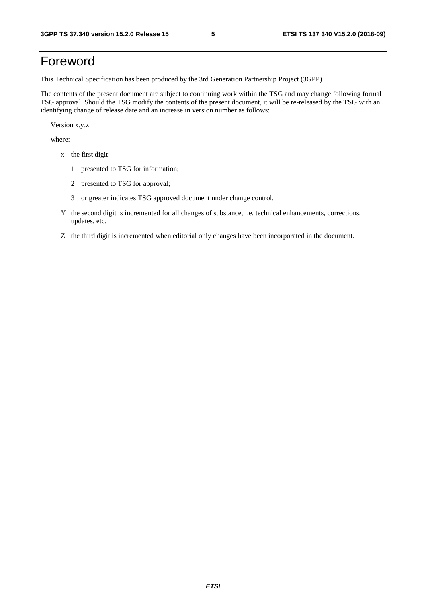# Foreword

This Technical Specification has been produced by the 3rd Generation Partnership Project (3GPP).

The contents of the present document are subject to continuing work within the TSG and may change following formal TSG approval. Should the TSG modify the contents of the present document, it will be re-released by the TSG with an identifying change of release date and an increase in version number as follows:

Version x.y.z

where:

- x the first digit:
	- 1 presented to TSG for information;
	- 2 presented to TSG for approval;
	- 3 or greater indicates TSG approved document under change control.
- Y the second digit is incremented for all changes of substance, i.e. technical enhancements, corrections, updates, etc.
- Z the third digit is incremented when editorial only changes have been incorporated in the document.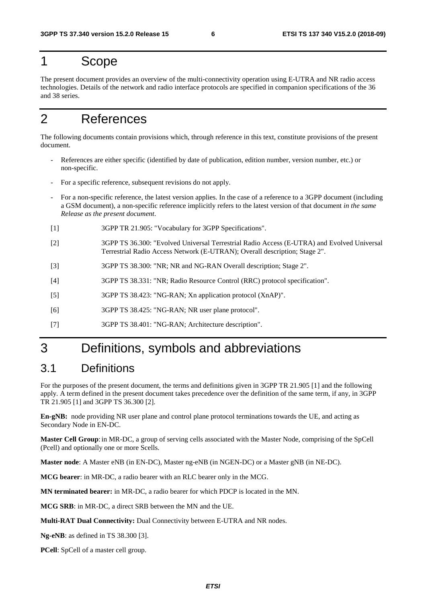# 1 Scope

The present document provides an overview of the multi-connectivity operation using E-UTRA and NR radio access technologies. Details of the network and radio interface protocols are specified in companion specifications of the 36 and 38 series.

# 2 References

The following documents contain provisions which, through reference in this text, constitute provisions of the present document.

- References are either specific (identified by date of publication, edition number, version number, etc.) or non-specific.
- For a specific reference, subsequent revisions do not apply.
- For a non-specific reference, the latest version applies. In the case of a reference to a 3GPP document (including a GSM document), a non-specific reference implicitly refers to the latest version of that document *in the same Release as the present document*.
- [1] 3GPP TR 21.905: "Vocabulary for 3GPP Specifications".
- [2] 3GPP TS 36.300: "Evolved Universal Terrestrial Radio Access (E-UTRA) and Evolved Universal Terrestrial Radio Access Network (E-UTRAN); Overall description; Stage 2".
- [3] 3GPP TS 38.300: "NR; NR and NG-RAN Overall description; Stage 2".
- [4] 3GPP TS 38.331: "NR; Radio Resource Control (RRC) protocol specification".
- [5] 3GPP TS 38.423: "NG-RAN; Xn application protocol (XnAP)".
- [6] 3GPP TS 38.425: "NG-RAN; NR user plane protocol".
- [7] 3GPP TS 38.401: "NG-RAN; Architecture description".

# 3 Definitions, symbols and abbreviations

# 3.1 Definitions

For the purposes of the present document, the terms and definitions given in 3GPP TR 21.905 [1] and the following apply. A term defined in the present document takes precedence over the definition of the same term, if any, in 3GPP TR 21.905 [1] and 3GPP TS 36.300 [2].

**En-gNB:** node providing NR user plane and control plane protocol terminations towards the UE, and acting as Secondary Node in EN-DC.

**Master Cell Group**: in MR-DC, a group of serving cells associated with the Master Node, comprising of the SpCell (Pcell) and optionally one or more Scells.

**Master node**: A Master eNB (in EN-DC), Master ng-eNB (in NGEN-DC) or a Master gNB (in NE-DC).

**MCG bearer**: in MR-DC, a radio bearer with an RLC bearer only in the MCG.

**MN terminated bearer:** in MR-DC, a radio bearer for which PDCP is located in the MN.

**MCG SRB**: in MR-DC, a direct SRB between the MN and the UE.

**Multi-RAT Dual Connectivity:** Dual Connectivity between E-UTRA and NR nodes.

**Ng-eNB**: as defined in TS 38.300 [3].

**PCell**: SpCell of a master cell group.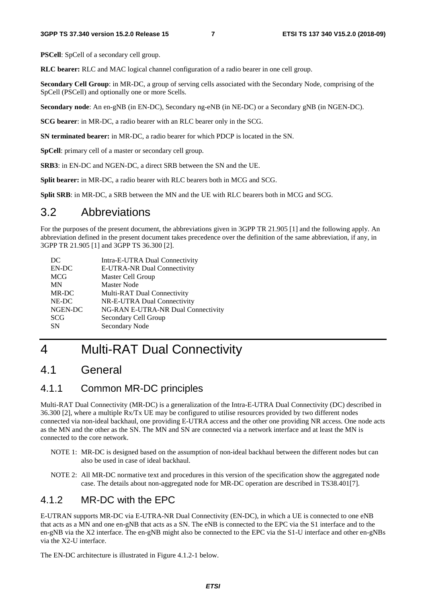**PSCell**: SpCell of a secondary cell group.

**RLC bearer:** RLC and MAC logical channel configuration of a radio bearer in one cell group.

**Secondary Cell Group**: in MR-DC, a group of serving cells associated with the Secondary Node, comprising of the SpCell (PSCell) and optionally one or more Scells.

**Secondary node**: An en-gNB (in EN-DC), Secondary ng-eNB (in NE-DC) or a Secondary gNB (in NGEN-DC).

**SCG bearer**: in MR-DC, a radio bearer with an RLC bearer only in the SCG.

**SN terminated bearer:** in MR-DC, a radio bearer for which PDCP is located in the SN.

**SpCell**: primary cell of a master or secondary cell group.

**SRB3**: in EN-DC and NGEN-DC, a direct SRB between the SN and the UE.

**Split bearer:** in MR-DC, a radio bearer with RLC bearers both in MCG and SCG.

**Split SRB**: in MR-DC, a SRB between the MN and the UE with RLC bearers both in MCG and SCG.

# 3.2 Abbreviations

For the purposes of the present document, the abbreviations given in 3GPP TR 21.905 [1] and the following apply. An abbreviation defined in the present document takes precedence over the definition of the same abbreviation, if any, in 3GPP TR 21.905 [1] and 3GPP TS 36.300 [2].

| DC         | Intra-E-UTRA Dual Connectivity     |
|------------|------------------------------------|
| EN-DC      | E-UTRA-NR Dual Connectivity        |
| <b>MCG</b> | Master Cell Group                  |
| <b>MN</b>  | <b>Master Node</b>                 |
| MR-DC      | Multi-RAT Dual Connectivity        |
| NE-DC      | NR-E-UTRA Dual Connectivity        |
| NGEN-DC    | NG-RAN E-UTRA-NR Dual Connectivity |
| <b>SCG</b> | Secondary Cell Group               |
| <b>SN</b>  | Secondary Node                     |
|            |                                    |

# 4 Multi-RAT Dual Connectivity

# 4.1 General

### 4.1.1 Common MR-DC principles

Multi-RAT Dual Connectivity (MR-DC) is a generalization of the Intra-E-UTRA Dual Connectivity (DC) described in 36.300 [2], where a multiple Rx/Tx UE may be configured to utilise resources provided by two different nodes connected via non-ideal backhaul, one providing E-UTRA access and the other one providing NR access. One node acts as the MN and the other as the SN. The MN and SN are connected via a network interface and at least the MN is connected to the core network.

- NOTE 1: MR-DC is designed based on the assumption of non-ideal backhaul between the different nodes but can also be used in case of ideal backhaul.
- NOTE 2: All MR-DC normative text and procedures in this version of the specification show the aggregated node case. The details about non-aggregated node for MR-DC operation are described in TS38.401[7].

### 4.1.2 MR-DC with the EPC

E-UTRAN supports MR-DC via E-UTRA-NR Dual Connectivity (EN-DC), in which a UE is connected to one eNB that acts as a MN and one en-gNB that acts as a SN. The eNB is connected to the EPC via the S1 interface and to the en-gNB via the X2 interface. The en-gNB might also be connected to the EPC via the S1-U interface and other en-gNBs via the X2-U interface.

The EN-DC architecture is illustrated in Figure 4.1.2-1 below.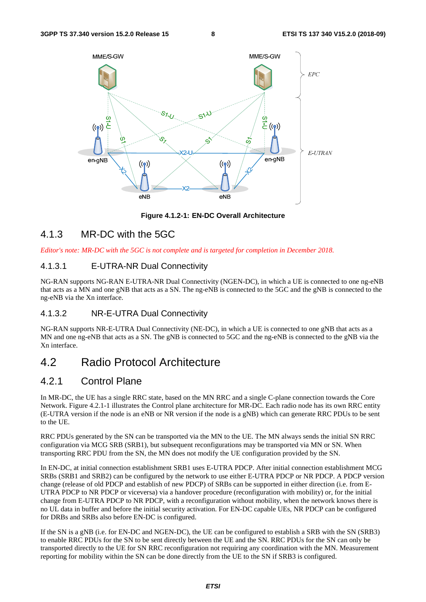

**Figure 4.1.2-1: EN-DC Overall Architecture** 

### 4.1.3 MR-DC with the 5GC

*Editor's note: MR-DC with the 5GC is not complete and is targeted for completion in December 2018.* 

### 4.1.3.1 E-UTRA-NR Dual Connectivity

NG-RAN supports NG-RAN E-UTRA-NR Dual Connectivity (NGEN-DC), in which a UE is connected to one ng-eNB that acts as a MN and one gNB that acts as a SN. The ng-eNB is connected to the 5GC and the gNB is connected to the ng-eNB via the Xn interface.

#### 4.1.3.2 NR-E-UTRA Dual Connectivity

NG-RAN supports NR-E-UTRA Dual Connectivity (NE-DC), in which a UE is connected to one gNB that acts as a MN and one ng-eNB that acts as a SN. The gNB is connected to 5GC and the ng-eNB is connected to the gNB via the Xn interface.

# 4.2 Radio Protocol Architecture

### 4.2.1 Control Plane

In MR-DC, the UE has a single RRC state, based on the MN RRC and a single C-plane connection towards the Core Network. Figure 4.2.1-1 illustrates the Control plane architecture for MR-DC. Each radio node has its own RRC entity (E-UTRA version if the node is an eNB or NR version if the node is a gNB) which can generate RRC PDUs to be sent to the UE.

RRC PDUs generated by the SN can be transported via the MN to the UE. The MN always sends the initial SN RRC configuration via MCG SRB (SRB1), but subsequent reconfigurations may be transported via MN or SN. When transporting RRC PDU from the SN, the MN does not modify the UE configuration provided by the SN.

In EN-DC, at initial connection establishment SRB1 uses E-UTRA PDCP. After initial connection establishment MCG SRBs (SRB1 and SRB2) can be configured by the network to use either E-UTRA PDCP or NR PDCP. A PDCP version change (release of old PDCP and establish of new PDCP) of SRBs can be supported in either direction (i.e. from E-UTRA PDCP to NR PDCP or viceversa) via a handover procedure (reconfiguration with mobility) or, for the initial change from E-UTRA PDCP to NR PDCP, with a reconfiguration without mobility, when the network knows there is no UL data in buffer and before the initial security activation. For EN-DC capable UEs, NR PDCP can be configured for DRBs and SRBs also before EN-DC is configured.

If the SN is a gNB (i.e. for EN-DC and NGEN-DC), the UE can be configured to establish a SRB with the SN (SRB3) to enable RRC PDUs for the SN to be sent directly between the UE and the SN. RRC PDUs for the SN can only be transported directly to the UE for SN RRC reconfiguration not requiring any coordination with the MN. Measurement reporting for mobility within the SN can be done directly from the UE to the SN if SRB3 is configured.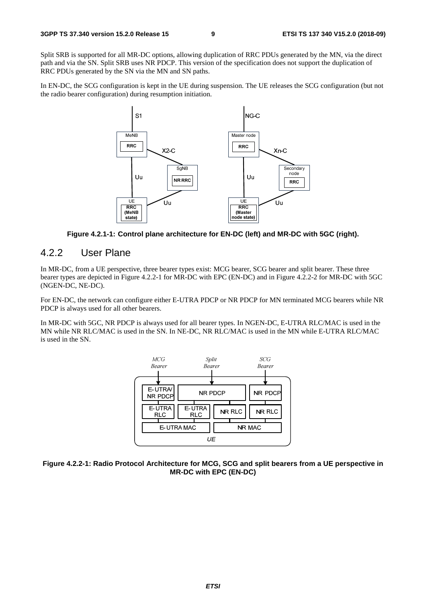Split SRB is supported for all MR-DC options, allowing duplication of RRC PDUs generated by the MN, via the direct path and via the SN. Split SRB uses NR PDCP. This version of the specification does not support the duplication of RRC PDUs generated by the SN via the MN and SN paths.

In EN-DC, the SCG configuration is kept in the UE during suspension. The UE releases the SCG configuration (but not the radio bearer configuration) during resumption initiation.



**Figure 4.2.1-1: Control plane architecture for EN-DC (left) and MR-DC with 5GC (right).** 

### 4.2.2 User Plane

In MR-DC, from a UE perspective, three bearer types exist: MCG bearer, SCG bearer and split bearer. These three bearer types are depicted in Figure 4.2.2-1 for MR-DC with EPC (EN-DC) and in Figure 4.2.2-2 for MR-DC with 5GC (NGEN-DC, NE-DC).

For EN-DC, the network can configure either E-UTRA PDCP or NR PDCP for MN terminated MCG bearers while NR PDCP is always used for all other bearers.

In MR-DC with 5GC, NR PDCP is always used for all bearer types. In NGEN-DC, E-UTRA RLC/MAC is used in the MN while NR RLC/MAC is used in the SN. In NE-DC, NR RLC/MAC is used in the MN while E-UTRA RLC/MAC is used in the SN.



**Figure 4.2.2-1: Radio Protocol Architecture for MCG, SCG and split bearers from a UE perspective in MR-DC with EPC (EN-DC)**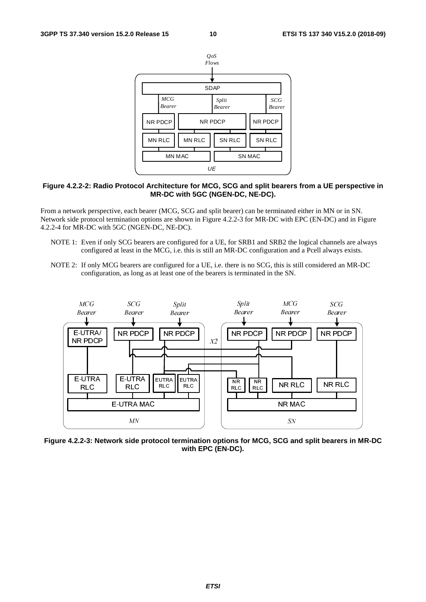

#### **Figure 4.2.2-2: Radio Protocol Architecture for MCG, SCG and split bearers from a UE perspective in MR-DC with 5GC (NGEN-DC, NE-DC).**

From a network perspective, each bearer (MCG, SCG and split bearer) can be terminated either in MN or in SN. Network side protocol termination options are shown in Figure 4.2.2-3 for MR-DC with EPC (EN-DC) and in Figure 4.2.2-4 for MR-DC with 5GC (NGEN-DC, NE-DC).

- NOTE 1: Even if only SCG bearers are configured for a UE, for SRB1 and SRB2 the logical channels are always configured at least in the MCG, i.e. this is still an MR-DC configuration and a Pcell always exists.
- NOTE 2: If only MCG bearers are configured for a UE, i.e. there is no SCG, this is still considered an MR-DC configuration, as long as at least one of the bearers is terminated in the SN.



**Figure 4.2.2-3: Network side protocol termination options for MCG, SCG and split bearers in MR-DC with EPC (EN-DC).**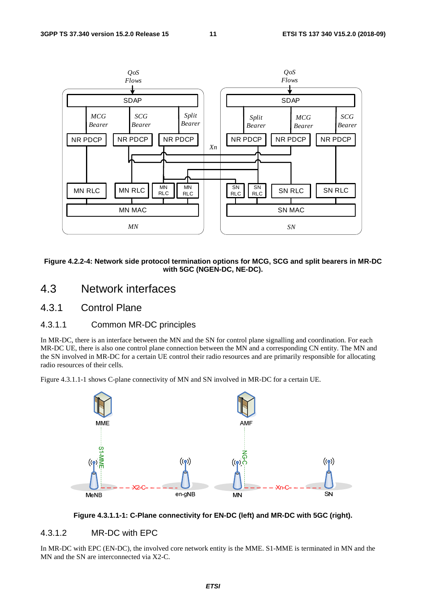

**Figure 4.2.2-4: Network side protocol termination options for MCG, SCG and split bearers in MR-DC with 5GC (NGEN-DC, NE-DC).** 

# 4.3 Network interfaces

### 4.3.1 Control Plane

### 4.3.1.1 Common MR-DC principles

In MR-DC, there is an interface between the MN and the SN for control plane signalling and coordination. For each MR-DC UE, there is also one control plane connection between the MN and a corresponding CN entity. The MN and the SN involved in MR-DC for a certain UE control their radio resources and are primarily responsible for allocating radio resources of their cells.

Figure 4.3.1.1-1 shows C-plane connectivity of MN and SN involved in MR-DC for a certain UE.





### 4.3.1.2 MR-DC with EPC

In MR-DC with EPC (EN-DC), the involved core network entity is the MME. S1-MME is terminated in MN and the MN and the SN are interconnected via X2-C.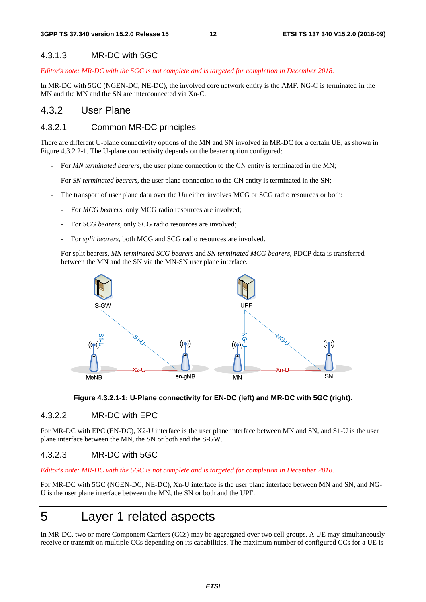#### 4.3.1.3 MR-DC with 5GC

*Editor's note: MR-DC with the 5GC is not complete and is targeted for completion in December 2018.* 

In MR-DC with 5GC (NGEN-DC, NE-DC), the involved core network entity is the AMF. NG-C is terminated in the MN and the MN and the SN are interconnected via Xn-C.

### 4.3.2 User Plane

#### 4.3.2.1 Common MR-DC principles

There are different U-plane connectivity options of the MN and SN involved in MR-DC for a certain UE, as shown in Figure 4.3.2.2-1. The U-plane connectivity depends on the bearer option configured:

- For *MN terminated bearers*, the user plane connection to the CN entity is terminated in the MN;
- For *SN terminated bearers*, the user plane connection to the CN entity is terminated in the SN;
- The transport of user plane data over the Uu either involves MCG or SCG radio resources or both:
	- For *MCG bearers*, only MCG radio resources are involved;
	- For *SCG bearers*, only SCG radio resources are involved;
	- For *split bearers*, both MCG and SCG radio resources are involved.
- For split bearers, *MN terminated SCG bearers* and *SN terminated MCG bearers*, PDCP data is transferred between the MN and the SN via the MN-SN user plane interface.





#### 4.3.2.2 MR-DC with EPC

For MR-DC with EPC (EN-DC), X2-U interface is the user plane interface between MN and SN, and S1-U is the user plane interface between the MN, the SN or both and the S-GW.

#### 4.3.2.3 MR-DC with 5GC

*Editor's note: MR-DC with the 5GC is not complete and is targeted for completion in December 2018.* 

For MR-DC with 5GC (NGEN-DC, NE-DC), Xn-U interface is the user plane interface between MN and SN, and NG-U is the user plane interface between the MN, the SN or both and the UPF.

# 5 Layer 1 related aspects

In MR-DC, two or more Component Carriers (CCs) may be aggregated over two cell groups. A UE may simultaneously receive or transmit on multiple CCs depending on its capabilities. The maximum number of configured CCs for a UE is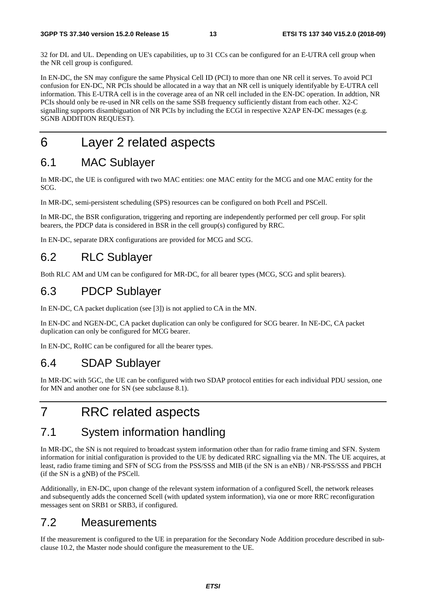32 for DL and UL. Depending on UE's capabilities, up to 31 CCs can be configured for an E-UTRA cell group when the NR cell group is configured.

In EN-DC, the SN may configure the same Physical Cell ID (PCI) to more than one NR cell it serves. To avoid PCI confusion for EN-DC, NR PCIs should be allocated in a way that an NR cell is uniquely identifyable by E-UTRA cell information. This E-UTRA cell is in the coverage area of an NR cell included in the EN-DC operation. In addtion, NR PCIs should only be re-used in NR cells on the same SSB frequency sufficiently distant from each other. X2-C signalling supports disambiguation of NR PCIs by including the ECGI in respective X2AP EN-DC messages (e.g. SGNB ADDITION REQUEST).

# 6 Layer 2 related aspects

# 6.1 MAC Sublayer

In MR-DC, the UE is configured with two MAC entities: one MAC entity for the MCG and one MAC entity for the SCG.

In MR-DC, semi-persistent scheduling (SPS) resources can be configured on both Pcell and PSCell.

In MR-DC, the BSR configuration, triggering and reporting are independently performed per cell group. For split bearers, the PDCP data is considered in BSR in the cell group(s) configured by RRC.

In EN-DC, separate DRX configurations are provided for MCG and SCG.

# 6.2 RLC Sublayer

Both RLC AM and UM can be configured for MR-DC, for all bearer types (MCG, SCG and split bearers).

# 6.3 PDCP Sublayer

In EN-DC, CA packet duplication (see [3]) is not applied to CA in the MN.

In EN-DC and NGEN-DC, CA packet duplication can only be configured for SCG bearer. In NE-DC, CA packet duplication can only be configured for MCG bearer.

In EN-DC, RoHC can be configured for all the bearer types.

# 6.4 SDAP Sublayer

In MR-DC with 5GC, the UE can be configured with two SDAP protocol entities for each individual PDU session, one for MN and another one for SN (see subclause 8.1).

# 7 RRC related aspects

# 7.1 System information handling

In MR-DC, the SN is not required to broadcast system information other than for radio frame timing and SFN. System information for initial configuration is provided to the UE by dedicated RRC signalling via the MN. The UE acquires, at least, radio frame timing and SFN of SCG from the PSS/SSS and MIB (if the SN is an eNB) / NR-PSS/SSS and PBCH (if the SN is a gNB) of the PSCell.

Additionally, in EN-DC, upon change of the relevant system information of a configured Scell, the network releases and subsequently adds the concerned Scell (with updated system information), via one or more RRC reconfiguration messages sent on SRB1 or SRB3, if configured.

# 7.2 Measurements

If the measurement is configured to the UE in preparation for the Secondary Node Addition procedure described in subclause 10.2, the Master node should configure the measurement to the UE.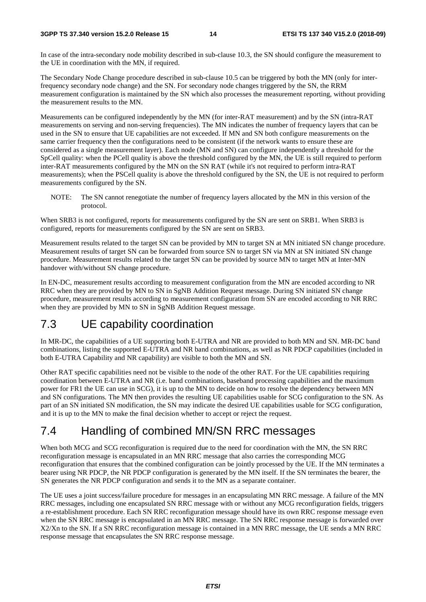In case of the intra-secondary node mobility described in sub-clause 10.3, the SN should configure the measurement to the UE in coordination with the MN, if required.

The Secondary Node Change procedure described in sub-clause 10.5 can be triggered by both the MN (only for interfrequency secondary node change) and the SN. For secondary node changes triggered by the SN, the RRM measurement configuration is maintained by the SN which also processes the measurement reporting, without providing the measurement results to the MN.

Measurements can be configured independently by the MN (for inter-RAT measurement) and by the SN (intra-RAT measurements on serving and non-serving frequencies). The MN indicates the number of frequency layers that can be used in the SN to ensure that UE capabilities are not exceeded. If MN and SN both configure measurements on the same carrier frequency then the configurations need to be consistent (if the network wants to ensure these are considered as a single measurement layer). Each node (MN and SN) can configure independently a threshold for the SpCell quality: when the PCell quality is above the threshold configured by the MN, the UE is still required to perform inter-RAT measurements configured by the MN on the SN RAT (while it's not required to perform intra-RAT measurements); when the PSCell quality is above the threshold configured by the SN, the UE is not required to perform measurements configured by the SN.

NOTE: The SN cannot renegotiate the number of frequency layers allocated by the MN in this version of the protocol.

When SRB3 is not configured, reports for measurements configured by the SN are sent on SRB1. When SRB3 is configured, reports for measurements configured by the SN are sent on SRB3.

Measurement results related to the target SN can be provided by MN to target SN at MN initiated SN change procedure. Measurement results of target SN can be forwarded from source SN to target SN via MN at SN initiated SN change procedure. Measurement results related to the target SN can be provided by source MN to target MN at Inter-MN handover with/without SN change procedure.

In EN-DC, measurement results according to measurement configuration from the MN are encoded according to NR RRC when they are provided by MN to SN in SgNB Addition Request message. During SN initiated SN change procedure, measurement results according to measurement configuration from SN are encoded according to NR RRC when they are provided by MN to SN in SgNB Addition Request message.

# 7.3 UE capability coordination

In MR-DC, the capabilities of a UE supporting both E-UTRA and NR are provided to both MN and SN. MR-DC band combinations, listing the supported E-UTRA and NR band combinations, as well as NR PDCP capabilities (included in both E-UTRA Capability and NR capability) are visible to both the MN and SN.

Other RAT specific capabilities need not be visible to the node of the other RAT. For the UE capabilities requiring coordination between E-UTRA and NR (i.e. band combinations, baseband processing capabilities and the maximum power for FR1 the UE can use in SCG), it is up to the MN to decide on how to resolve the dependency between MN and SN configurations. The MN then provides the resulting UE capabilities usable for SCG configuration to the SN. As part of an SN initiated SN modification, the SN may indicate the desired UE capabilities usable for SCG configuration, and it is up to the MN to make the final decision whether to accept or reject the request.

# 7.4 Handling of combined MN/SN RRC messages

When both MCG and SCG reconfiguration is required due to the need for coordination with the MN, the SN RRC reconfiguration message is encapsulated in an MN RRC message that also carries the corresponding MCG reconfiguration that ensures that the combined configuration can be jointly processed by the UE. If the MN terminates a bearer using NR PDCP, the NR PDCP configuration is generated by the MN itself. If the SN terminates the bearer, the SN generates the NR PDCP configuration and sends it to the MN as a separate container.

The UE uses a joint success/failure procedure for messages in an encapsulating MN RRC message. A failure of the MN RRC messages, including one encapsulated SN RRC message with or without any MCG reconfiguration fields, triggers a re-establishment procedure. Each SN RRC reconfiguration message should have its own RRC response message even when the SN RRC message is encapsulated in an MN RRC message. The SN RRC response message is forwarded over X2/Xn to the SN. If a SN RRC reconfiguration message is contained in a MN RRC message, the UE sends a MN RRC response message that encapsulates the SN RRC response message.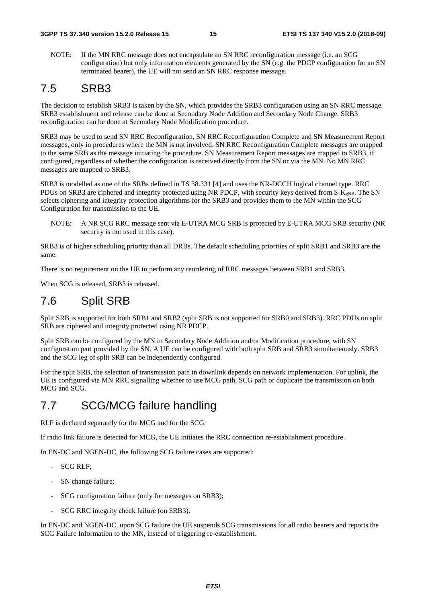NOTE: If the MN RRC message does not encapsulate an SN RRC reconfiguration message (i.e. an SCG configuration) but only information elements generated by the SN (e.g. the PDCP configuration for an SN terminated bearer), the UE will not send an SN RRC response message.

# 7.5 SRB3

The decision to establish SRB3 is taken by the SN, which provides the SRB3 configuration using an SN RRC message. SRB3 establishment and release can be done at Secondary Node Addition and Secondary Node Change. SRB3 reconfiguration can be done at Secondary Node Modification procedure.

SRB3 may be used to send SN RRC Reconfiguration, SN RRC Reconfiguration Complete and SN Measurement Report messages, only in procedures where the MN is not involved. SN RRC Reconfiguration Complete messages are mapped to the same SRB as the message initiating the procedure. SN Measurement Report messages are mapped to SRB3, if configured, regardless of whether the configuration is received directly from the SN or via the MN. No MN RRC messages are mapped to SRB3.

SRB3 is modelled as one of the SRBs defined in TS 38.331 [4] and uses the NR-DCCH logical channel type. RRC PDUs on SRB3 are ciphered and integrity protected using NR PDCP, with security keys derived from  $S-K_{\text{eNR}}$ . The SN selects ciphering and integrity protection algorithms for the SRB3 and provides them to the MN within the SCG Configuration for transmission to the UE.

NOTE: A NR SCG RRC message sent via E-UTRA MCG SRB is protected by E-UTRA MCG SRB security (NR security is not used in this case).

SRB3 is of higher scheduling priority than all DRBs. The default scheduling priorities of split SRB1 and SRB3 are the same.

There is no requirement on the UE to perform any reordering of RRC messages between SRB1 and SRB3.

When SCG is released, SRB3 is released.

# 7.6 Split SRB

Split SRB is supported for both SRB1 and SRB2 (split SRB is not supported for SRB0 and SRB3). RRC PDUs on split SRB are ciphered and integrity protected using NR PDCP.

Split SRB can be configured by the MN in Secondary Node Addition and/or Modification procedure, with SN configuration part provided by the SN. A UE can be configured with both split SRB and SRB3 simultaneously. SRB3 and the SCG leg of split SRB can be independently configured.

For the split SRB, the selection of transmission path in downlink depends on network implementation. For uplink, the UE is configured via MN RRC signalling whether to use MCG path, SCG path or duplicate the transmission on both MCG and SCG.

# 7.7 SCG/MCG failure handling

RLF is declared separately for the MCG and for the SCG.

If radio link failure is detected for MCG, the UE initiates the RRC connection re-establishment procedure.

In EN-DC and NGEN-DC, the following SCG failure cases are supported:

- SCG RLF;
- SN change failure;
- SCG configuration failure (only for messages on SRB3);
- SCG RRC integrity check failure (on SRB3).

In EN-DC and NGEN-DC, upon SCG failure the UE suspends SCG transmissions for all radio bearers and reports the SCG Failure Information to the MN, instead of triggering re-establishment.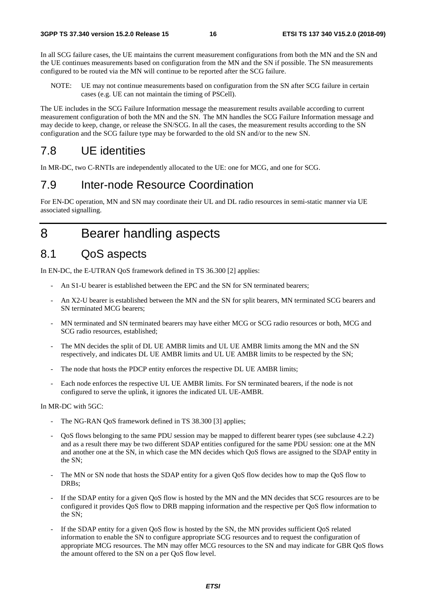In all SCG failure cases, the UE maintains the current measurement configurations from both the MN and the SN and the UE continues measurements based on configuration from the MN and the SN if possible. The SN measurements configured to be routed via the MN will continue to be reported after the SCG failure.

NOTE: UE may not continue measurements based on configuration from the SN after SCG failure in certain cases (e.g. UE can not maintain the timing of PSCell).

The UE includes in the SCG Failure Information message the measurement results available according to current measurement configuration of both the MN and the SN. The MN handles the SCG Failure Information message and may decide to keep, change, or release the SN/SCG. In all the cases, the measurement results according to the SN configuration and the SCG failure type may be forwarded to the old SN and/or to the new SN.

# 7.8 UE identities

In MR-DC, two C-RNTIs are independently allocated to the UE: one for MCG, and one for SCG.

# 7.9 Inter-node Resource Coordination

For EN-DC operation, MN and SN may coordinate their UL and DL radio resources in semi-static manner via UE associated signalling.

8 Bearer handling aspects

# 8.1 QoS aspects

In EN-DC, the E-UTRAN QoS framework defined in TS 36.300 [2] applies:

- An S1-U bearer is established between the EPC and the SN for SN terminated bearers;
- An X2-U bearer is established between the MN and the SN for split bearers, MN terminated SCG bearers and SN terminated MCG bearers;
- MN terminated and SN terminated bearers may have either MCG or SCG radio resources or both, MCG and SCG radio resources, established;
- The MN decides the split of DL UE AMBR limits and UL UE AMBR limits among the MN and the SN respectively, and indicates DL UE AMBR limits and UL UE AMBR limits to be respected by the SN;
- The node that hosts the PDCP entity enforces the respective DL UE AMBR limits;
- Each node enforces the respective UL UE AMBR limits. For SN terminated bearers, if the node is not configured to serve the uplink, it ignores the indicated UL UE-AMBR.

In MR-DC with 5GC:

- The NG-RAN OoS framework defined in TS 38.300 [3] applies;
- QoS flows belonging to the same PDU session may be mapped to different bearer types (see subclause 4.2.2) and as a result there may be two different SDAP entities configured for the same PDU session: one at the MN and another one at the SN, in which case the MN decides which QoS flows are assigned to the SDAP entity in the SN;
- The MN or SN node that hosts the SDAP entity for a given QoS flow decides how to map the QoS flow to DRBs;
- If the SDAP entity for a given OoS flow is hosted by the MN and the MN decides that SCG resources are to be configured it provides QoS flow to DRB mapping information and the respective per QoS flow information to the SN;
- If the SDAP entity for a given QoS flow is hosted by the SN, the MN provides sufficient QoS related information to enable the SN to configure appropriate SCG resources and to request the configuration of appropriate MCG resources. The MN may offer MCG resources to the SN and may indicate for GBR QoS flows the amount offered to the SN on a per QoS flow level.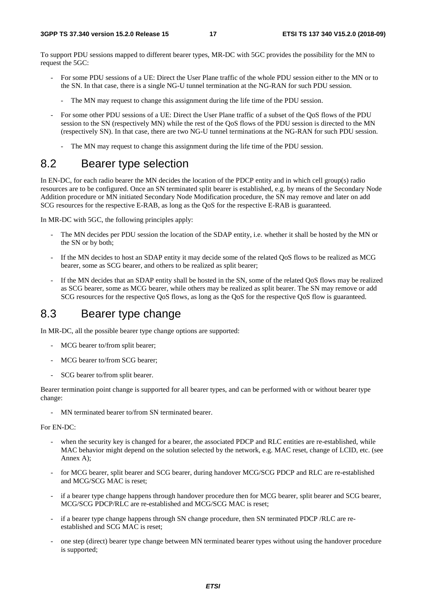To support PDU sessions mapped to different bearer types, MR-DC with 5GC provides the possibility for the MN to request the 5GC:

- For some PDU sessions of a UE: Direct the User Plane traffic of the whole PDU session either to the MN or to the SN. In that case, there is a single NG-U tunnel termination at the NG-RAN for such PDU session.
	- The MN may request to change this assignment during the life time of the PDU session.
- For some other PDU sessions of a UE: Direct the User Plane traffic of a subset of the QoS flows of the PDU session to the SN (respectively MN) while the rest of the QoS flows of the PDU session is directed to the MN (respectively SN). In that case, there are two NG-U tunnel terminations at the NG-RAN for such PDU session.
	- The MN may request to change this assignment during the life time of the PDU session.

# 8.2 Bearer type selection

In EN-DC, for each radio bearer the MN decides the location of the PDCP entity and in which cell group(s) radio resources are to be configured. Once an SN terminated split bearer is established, e.g. by means of the Secondary Node Addition procedure or MN initiated Secondary Node Modification procedure, the SN may remove and later on add SCG resources for the respective E-RAB, as long as the QoS for the respective E-RAB is guaranteed.

In MR-DC with 5GC, the following principles apply:

- The MN decides per PDU session the location of the SDAP entity, i.e. whether it shall be hosted by the MN or the SN or by both;
- If the MN decides to host an SDAP entity it may decide some of the related QoS flows to be realized as MCG bearer, some as SCG bearer, and others to be realized as split bearer;
- If the MN decides that an SDAP entity shall be hosted in the SN, some of the related QoS flows may be realized as SCG bearer, some as MCG bearer, while others may be realized as split bearer. The SN may remove or add SCG resources for the respective QoS flows, as long as the QoS for the respective QoS flow is guaranteed.

# 8.3 Bearer type change

In MR-DC, all the possible bearer type change options are supported:

- MCG bearer to/from split bearer;
- MCG bearer to/from SCG bearer:
- SCG bearer to/from split bearer.

Bearer termination point change is supported for all bearer types, and can be performed with or without bearer type change:

- MN terminated bearer to/from SN terminated bearer.

For EN-DC:

- when the security key is changed for a bearer, the associated PDCP and RLC entities are re-established, while MAC behavior might depend on the solution selected by the network, e.g. MAC reset, change of LCID, etc. (see Annex A);
- for MCG bearer, split bearer and SCG bearer, during handover MCG/SCG PDCP and RLC are re-established and MCG/SCG MAC is reset;
- if a bearer type change happens through handover procedure then for MCG bearer, split bearer and SCG bearer, MCG/SCG PDCP/RLC are re-established and MCG/SCG MAC is reset;
- if a bearer type change happens through SN change procedure, then SN terminated PDCP /RLC are reestablished and SCG MAC is reset;
- one step (direct) bearer type change between MN terminated bearer types without using the handover procedure is supported;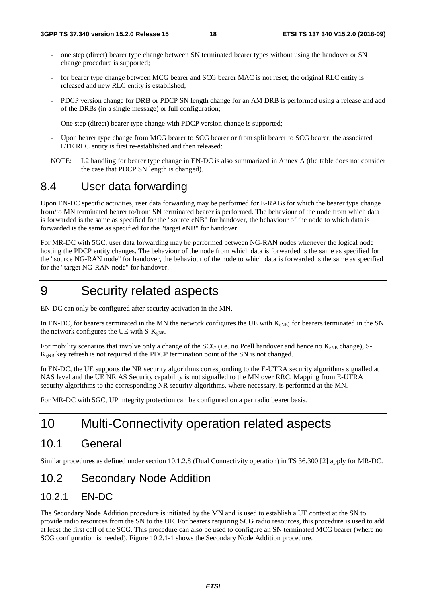- one step (direct) bearer type change between SN terminated bearer types without using the handover or SN change procedure is supported;
- for bearer type change between MCG bearer and SCG bearer MAC is not reset; the original RLC entity is released and new RLC entity is established;
- PDCP version change for DRB or PDCP SN length change for an AM DRB is performed using a release and add of the DRBs (in a single message) or full configuration;
- One step (direct) bearer type change with PDCP version change is supported;
- Upon bearer type change from MCG bearer to SCG bearer or from split bearer to SCG bearer, the associated LTE RLC entity is first re-established and then released:
- NOTE: L2 handling for bearer type change in EN-DC is also summarized in Annex A (the table does not consider the case that PDCP SN length is changed).

# 8.4 User data forwarding

Upon EN-DC specific activities, user data forwarding may be performed for E-RABs for which the bearer type change from/to MN terminated bearer to/from SN terminated bearer is performed. The behaviour of the node from which data is forwarded is the same as specified for the "source eNB" for handover, the behaviour of the node to which data is forwarded is the same as specified for the "target eNB" for handover.

For MR-DC with 5GC, user data forwarding may be performed between NG-RAN nodes whenever the logical node hosting the PDCP entity changes. The behaviour of the node from which data is forwarded is the same as specified for the "source NG-RAN node" for handover, the behaviour of the node to which data is forwarded is the same as specified for the "target NG-RAN node" for handover.

9 Security related aspects

EN-DC can only be configured after security activation in the MN.

In EN-DC, for bearers terminated in the MN the network configures the UE with  $K_{eNB}$ ; for bearers terminated in the SN the network configures the UE with  $S-K_{gNB}$ .

For mobility scenarios that involve only a change of the SCG (i.e. no Pcell handover and hence no  $K_{eNB}$  change), S- $K_{gNB}$  key refresh is not required if the PDCP termination point of the SN is not changed.

In EN-DC, the UE supports the NR security algorithms corresponding to the E-UTRA security algorithms signalled at NAS level and the UE NR AS Security capability is not signalled to the MN over RRC. Mapping from E-UTRA security algorithms to the corresponding NR security algorithms, where necessary, is performed at the MN.

For MR-DC with 5GC, UP integrity protection can be configured on a per radio bearer basis.

# 10 Multi-Connectivity operation related aspects

# 10.1 General

Similar procedures as defined under section 10.1.2.8 (Dual Connectivity operation) in TS 36.300 [2] apply for MR-DC.

# 10.2 Secondary Node Addition

### 10.2.1 EN-DC

The Secondary Node Addition procedure is initiated by the MN and is used to establish a UE context at the SN to provide radio resources from the SN to the UE. For bearers requiring SCG radio resources, this procedure is used to add at least the first cell of the SCG. This procedure can also be used to configure an SN terminated MCG bearer (where no SCG configuration is needed). Figure 10.2.1-1 shows the Secondary Node Addition procedure.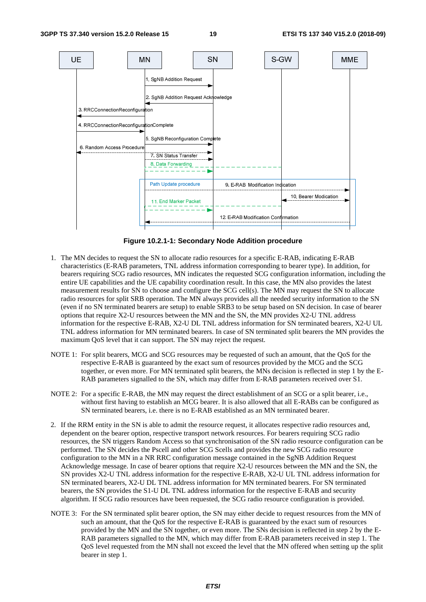

**Figure 10.2.1-1: Secondary Node Addition procedure** 

- 1. The MN decides to request the SN to allocate radio resources for a specific E-RAB, indicating E-RAB characteristics (E-RAB parameters, TNL address information corresponding to bearer type). In addition, for bearers requiring SCG radio resources, MN indicates the requested SCG configuration information, including the entire UE capabilities and the UE capability coordination result. In this case, the MN also provides the latest measurement results for SN to choose and configure the SCG cell(s). The MN may request the SN to allocate radio resources for split SRB operation. The MN always provides all the needed security information to the SN (even if no SN terminated bearers are setup) to enable SRB3 to be setup based on SN decision. In case of bearer options that require X2-U resources between the MN and the SN, the MN provides X2-U TNL address information for the respective E-RAB, X2-U DL TNL address information for SN terminated bearers, X2-U UL TNL address information for MN terminated bearers. In case of SN terminated split bearers the MN provides the maximum QoS level that it can support. The SN may reject the request.
- NOTE 1: For split bearers, MCG and SCG resources may be requested of such an amount, that the QoS for the respective E-RAB is guaranteed by the exact sum of resources provided by the MCG and the SCG together, or even more. For MN terminated split bearers, the MNs decision is reflected in step 1 by the E-RAB parameters signalled to the SN, which may differ from E-RAB parameters received over S1.
- NOTE 2: For a specific E-RAB, the MN may request the direct establishment of an SCG or a split bearer, i.e., without first having to establish an MCG bearer. It is also allowed that all E-RABs can be configured as SN terminated bearers, i.e. there is no E-RAB established as an MN terminated bearer.
- 2. If the RRM entity in the SN is able to admit the resource request, it allocates respective radio resources and, dependent on the bearer option, respective transport network resources. For bearers requiring SCG radio resources, the SN triggers Random Access so that synchronisation of the SN radio resource configuration can be performed. The SN decides the Pscell and other SCG Scells and provides the new SCG radio resource configuration to the MN in a NR RRC configuration message contained in the SgNB Addition Request Acknowledge message. In case of bearer options that require X2-U resources between the MN and the SN, the SN provides X2-U TNL address information for the respective E-RAB, X2-U UL TNL address information for SN terminated bearers, X2-U DL TNL address information for MN terminated bearers. For SN terminated bearers, the SN provides the S1-U DL TNL address information for the respective E-RAB and security algorithm. If SCG radio resources have been requested, the SCG radio resource configuration is provided.
- NOTE 3: For the SN terminated split bearer option, the SN may either decide to request resources from the MN of such an amount, that the QoS for the respective E-RAB is guaranteed by the exact sum of resources provided by the MN and the SN together, or even more. The SNs decision is reflected in step 2 by the E-RAB parameters signalled to the MN, which may differ from E-RAB parameters received in step 1. The QoS level requested from the MN shall not exceed the level that the MN offered when setting up the split bearer in step 1.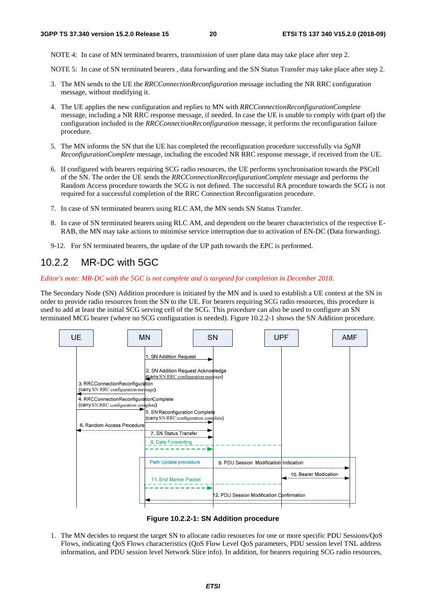NOTE 4: In case of MN terminated bearers, transmission of user plane data may take place after step 2.

NOTE 5: In case of SN terminated bearers , data forwarding and the SN Status Transfer may take place after step 2.

- 3. The MN sends to the UE the *RRCConnectionReconfiguration* message including the NR RRC configuration message, without modifying it.
- 4. The UE applies the new configuration and replies to MN with *RRCConnectionReconfigurationComplete* message, including a NR RRC response message, if needed. In case the UE is unable to comply with (part of) the configuration included in the *RRCConnectionReconfiguration* message, it performs the reconfiguration failure procedure.
- 5. The MN informs the SN that the UE has completed the reconfiguration procedure successfully via *SgNB ReconfigurationComplete* message, including the encoded NR RRC response message, if received from the UE.
- 6. If configured with bearers requiring SCG radio resources, the UE performs synchronisation towards the PSCell of the SN. The order the UE sends the *RRCConnectionReconfigurationComplete* message and performs the Random Access procedure towards the SCG is not defined. The successful RA procedure towards the SCG is not required for a successful completion of the RRC Connection Reconfiguration procedure.
- 7. In case of SN terminated bearers using RLC AM, the MN sends SN Status Transfer.
- 8. In case of SN terminated bearers using RLC AM, and dependent on the bearer characteristics of the respective E-RAB, the MN may take actions to minimise service interruption due to activation of EN-DC (Data forwarding).
- 9-12. For SN terminated bearers, the update of the UP path towards the EPC is performed.

### 10.2.2 MR-DC with 5GC

*Editor's note: MR-DC with the 5GC is not complete and is targeted for completion in December 2018.* 

The Secondary Node (SN) Addition procedure is initiated by the MN and is used to establish a UE context at the SN in order to provide radio resources from the SN to the UE. For bearers requiring SCG radio resources, this procedure is used to add at least the initial SCG serving cell of the SCG. This procedure can also be used to configure an SN terminated MCG bearer (where no SCG configuration is needed). Figure 10.2.2-1 shows the SN Addition procedure.



**Figure 10.2.2-1: SN Addition procedure** 

1. The MN decides to request the target SN to allocate radio resources for one or more specific PDU Sessions/QoS Flows, indicating QoS Flows characteristics (QoS Flow Level QoS parameters, PDU session level TNL address information, and PDU session level Network Slice info). In addition, for bearers requiring SCG radio resources,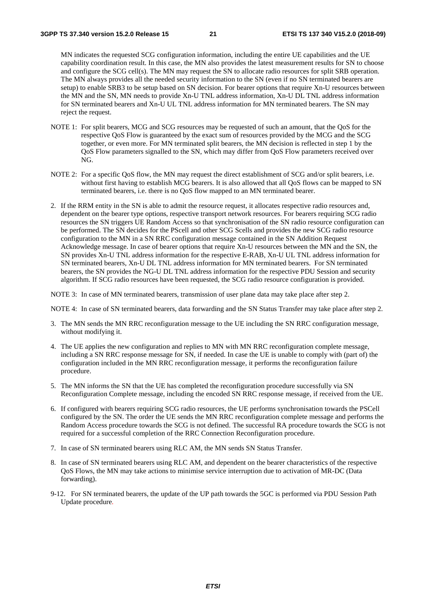MN indicates the requested SCG configuration information, including the entire UE capabilities and the UE capability coordination result. In this case, the MN also provides the latest measurement results for SN to choose and configure the SCG cell(s). The MN may request the SN to allocate radio resources for split SRB operation. The MN always provides all the needed security information to the SN (even if no SN terminated bearers are setup) to enable SRB3 to be setup based on SN decision. For bearer options that require Xn-U resources between the MN and the SN, MN needs to provide Xn-U TNL address information, Xn-U DL TNL address information for SN terminated bearers and Xn-U UL TNL address information for MN terminated bearers. The SN may reject the request.

- NOTE 1: For split bearers, MCG and SCG resources may be requested of such an amount, that the QoS for the respective QoS Flow is guaranteed by the exact sum of resources provided by the MCG and the SCG together, or even more. For MN terminated split bearers, the MN decision is reflected in step 1 by the QoS Flow parameters signalled to the SN, which may differ from QoS Flow parameters received over NG.
- NOTE 2: For a specific QoS flow, the MN may request the direct establishment of SCG and/or split bearers, i.e. without first having to establish MCG bearers. It is also allowed that all QoS flows can be mapped to SN terminated bearers, i.e. there is no QoS flow mapped to an MN terminated bearer.
- 2. If the RRM entity in the SN is able to admit the resource request, it allocates respective radio resources and, dependent on the bearer type options, respective transport network resources. For bearers requiring SCG radio resources the SN triggers UE Random Access so that synchronisation of the SN radio resource configuration can be performed. The SN decides for the PScell and other SCG Scells and provides the new SCG radio resource configuration to the MN in a SN RRC configuration message contained in the SN Addition Request Acknowledge message. In case of bearer options that require Xn-U resources between the MN and the SN, the SN provides Xn-U TNL address information for the respective E-RAB, Xn-U UL TNL address information for SN terminated bearers, Xn-U DL TNL address information for MN terminated bearers. For SN terminated bearers, the SN provides the NG-U DL TNL address information for the respective PDU Session and security algorithm. If SCG radio resources have been requested, the SCG radio resource configuration is provided.

NOTE 3: In case of MN terminated bearers, transmission of user plane data may take place after step 2.

NOTE 4: In case of SN terminated bearers, data forwarding and the SN Status Transfer may take place after step 2.

- 3. The MN sends the MN RRC reconfiguration message to the UE including the SN RRC configuration message, without modifying it.
- 4. The UE applies the new configuration and replies to MN with MN RRC reconfiguration complete message, including a SN RRC response message for SN, if needed. In case the UE is unable to comply with (part of) the configuration included in the MN RRC reconfiguration message, it performs the reconfiguration failure procedure.
- 5. The MN informs the SN that the UE has completed the reconfiguration procedure successfully via SN Reconfiguration Complete message, including the encoded SN RRC response message, if received from the UE.
- 6. If configured with bearers requiring SCG radio resources, the UE performs synchronisation towards the PSCell configured by the SN. The order the UE sends the MN RRC reconfiguration complete message and performs the Random Access procedure towards the SCG is not defined. The successful RA procedure towards the SCG is not required for a successful completion of the RRC Connection Reconfiguration procedure.
- 7. In case of SN terminated bearers using RLC AM, the MN sends SN Status Transfer.
- 8. In case of SN terminated bearers using RLC AM, and dependent on the bearer characteristics of the respective QoS Flows, the MN may take actions to minimise service interruption due to activation of MR-DC (Data forwarding).
- 9-12. For SN terminated bearers, the update of the UP path towards the 5GC is performed via PDU Session Path Update procedure*.*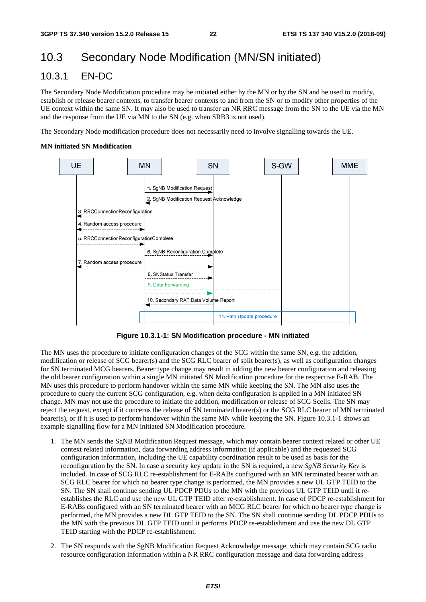# 10.3 Secondary Node Modification (MN/SN initiated)

### 10.3.1 EN-DC

The Secondary Node Modification procedure may be initiated either by the MN or by the SN and be used to modify, establish or release bearer contexts, to transfer bearer contexts to and from the SN or to modify other properties of the UE context within the same SN. It may also be used to transfer an NR RRC message from the SN to the UE via the MN and the response from the UE via MN to the SN (e.g. when SRB3 is not used).

The Secondary Node modification procedure does not necessarily need to involve signalling towards the UE.

#### **MN initiated SN Modification**



**Figure 10.3.1-1: SN Modification procedure - MN initiated** 

The MN uses the procedure to initiate configuration changes of the SCG within the same SN, e.g. the addition, modification or release of SCG bearer(s) and the SCG RLC bearer of split bearer(s), as well as configuration changes for SN terminated MCG bearers. Bearer type change may result in adding the new bearer configuration and releasing the old bearer configuration within a single MN initiated SN Modification procedure for the respective E-RAB. The MN uses this procedure to perform handover within the same MN while keeping the SN. The MN also uses the procedure to query the current SCG configuration, e.g. when delta configuration is applied in a MN initiated SN change. MN may not use the procedure to initiate the addition, modification or release of SCG Scells. The SN may reject the request, except if it concerns the release of SN terminated bearer(s) or the SCG RLC bearer of MN terminated bearer(s), or if it is used to perform handover within the same MN while keeping the SN. Figure 10.3.1-1 shows an example signalling flow for a MN initiated SN Modification procedure.

- 1. The MN sends the SgNB Modification Request message, which may contain bearer context related or other UE context related information, data forwarding address information (if applicable) and the requested SCG configuration information, including the UE capability coordination result to be used as basis for the reconfiguration by the SN. In case a security key update in the SN is required, a new *SgNB Security Key* is included. In case of SCG RLC re-establishment for E-RABs configured with an MN terminated bearer with an SCG RLC bearer for which no bearer type change is performed, the MN provides a new UL GTP TEID to the SN. The SN shall continue sending UL PDCP PDUs to the MN with the previous UL GTP TEID until it reestablishes the RLC and use the new UL GTP TEID after re-establishment. In case of PDCP re-establishment for E-RABs configured with an SN terminated bearer with an MCG RLC bearer for which no bearer type change is performed, the MN provides a new DL GTP TEID to the SN. The SN shall continue sending DL PDCP PDUs to the MN with the previous DL GTP TEID until it performs PDCP re-establishment and use the new DL GTP TEID starting with the PDCP re-establishment.
- 2. The SN responds with the SgNB Modification Request Acknowledge message, which may contain SCG radio resource configuration information within a NR RRC configuration message and data forwarding address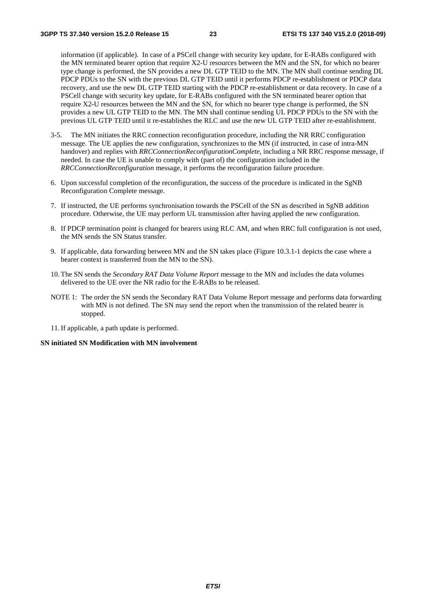information (if applicable). In case of a PSCell change with security key update, for E-RABs configured with the MN terminated bearer option that require X2-U resources between the MN and the SN, for which no bearer type change is performed, the SN provides a new DL GTP TEID to the MN. The MN shall continue sending DL PDCP PDUs to the SN with the previous DL GTP TEID until it performs PDCP re-establishment or PDCP data recovery, and use the new DL GTP TEID starting with the PDCP re-establishment or data recovery. In case of a PSCell change with security key update, for E-RABs configured with the SN terminated bearer option that require X2-U resources between the MN and the SN, for which no bearer type change is performed, the SN provides a new UL GTP TEID to the MN. The MN shall continue sending UL PDCP PDUs to the SN with the previous UL GTP TEID until it re-establishes the RLC and use the new UL GTP TEID after re-establishment.

- 3-5. The MN initiates the RRC connection reconfiguration procedure, including the NR RRC configuration message. The UE applies the new configuration, synchronizes to the MN (if instructed, in case of intra-MN handover) and replies with *RRCConnectionReconfigurationComplete*, including a NR RRC response message, if needed. In case the UE is unable to comply with (part of) the configuration included in the *RRCConnectionReconfiguration* message, it performs the reconfiguration failure procedure.
- 6. Upon successful completion of the reconfiguration, the success of the procedure is indicated in the SgNB Reconfiguration Complete message.
- 7. If instructed, the UE performs synchronisation towards the PSCell of the SN as described in SgNB addition procedure. Otherwise, the UE may perform UL transmission after having applied the new configuration.
- 8. If PDCP termination point is changed for bearers using RLC AM, and when RRC full configuration is not used, the MN sends the SN Status transfer.
- 9. If applicable, data forwarding between MN and the SN takes place (Figure 10.3.1-1 depicts the case where a bearer context is transferred from the MN to the SN).
- 10. The SN sends the *Secondary RAT Data Volume Report* message to the MN and includes the data volumes delivered to the UE over the NR radio for the E-RABs to be released.
- NOTE 1: The order the SN sends the Secondary RAT Data Volume Report message and performs data forwarding with MN is not defined. The SN may send the report when the transmission of the related bearer is stopped.
- 11. If applicable, a path update is performed.

#### **SN initiated SN Modification with MN involvement**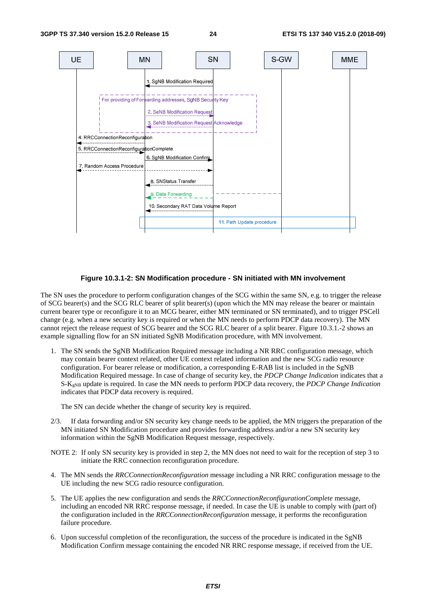

#### **Figure 10.3.1-2: SN Modification procedure - SN initiated with MN involvement**

The SN uses the procedure to perform configuration changes of the SCG within the same SN, e.g. to trigger the release of SCG bearer(s) and the SCG RLC bearer of split bearer(s) (upon which the MN may release the bearer or maintain current bearer type or reconfigure it to an MCG bearer, either MN terminated or SN terminated), and to trigger PSCell change (e.g. when a new security key is required or when the MN needs to perform PDCP data recovery). The MN cannot reject the release request of SCG bearer and the SCG RLC bearer of a split bearer. Figure 10.3.1.-2 shows an example signalling flow for an SN initiated SgNB Modification procedure, with MN involvement.

1. The SN sends the SgNB Modification Required message including a NR RRC configuration message, which may contain bearer context related, other UE context related information and the new SCG radio resource configuration. For bearer release or modification, a corresponding E-RAB list is included in the SgNB Modification Required message. In case of change of security key, the *PDCP Change Indication* indicates that a S-KgNB update is required. In case the MN needs to perform PDCP data recovery, the *PDCP Change Indication* indicates that PDCP data recovery is required.

The SN can decide whether the change of security key is required.

- 2/3. If data forwarding and/or SN security key change needs to be applied, the MN triggers the preparation of the MN initiated SN Modification procedure and provides forwarding address and/or a new SN security key information within the SgNB Modification Request message, respectively.
- NOTE 2: If only SN security key is provided in step 2, the MN does not need to wait for the reception of step 3 to initiate the RRC connection reconfiguration procedure.
- 4. The MN sends the *RRCConnectionReconfiguration* message including a NR RRC configuration message to the UE including the new SCG radio resource configuration.
- 5. The UE applies the new configuration and sends the *RRCConnectionReconfigurationComplete* message, including an encoded NR RRC response message, if needed. In case the UE is unable to comply with (part of) the configuration included in the *RRCConnectionReconfiguration* message, it performs the reconfiguration failure procedure.
- 6. Upon successful completion of the reconfiguration, the success of the procedure is indicated in the SgNB Modification Confirm message containing the encoded NR RRC response message, if received from the UE.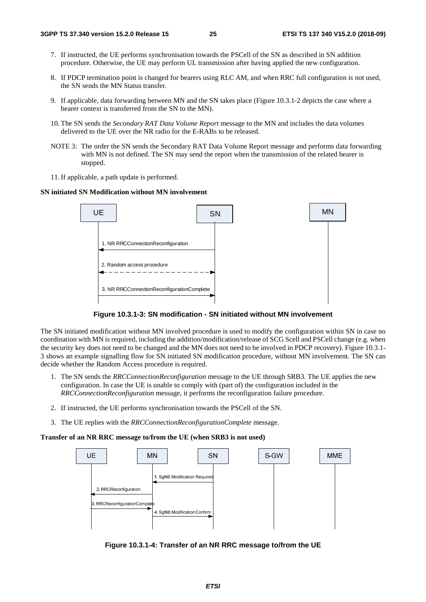- 7. If instructed, the UE performs synchronisation towards the PSCell of the SN as described in SN addition procedure. Otherwise, the UE may perform UL transmission after having applied the new configuration.
- 8. If PDCP termination point is changed for bearers using RLC AM, and when RRC full configuration is not used, the SN sends the MN Status transfer.
- 9. If applicable, data forwarding between MN and the SN takes place (Figure 10.3.1-2 depicts the case where a bearer context is transferred from the SN to the MN).
- 10. The SN sends the *Secondary RAT Data Volume Report* message to the MN and includes the data volumes delivered to the UE over the NR radio for the E-RABs to be released.
- NOTE 3: The order the SN sends the Secondary RAT Data Volume Report message and performs data forwarding with MN is not defined. The SN may send the report when the transmission of the related bearer is stopped.
- 11. If applicable, a path update is performed.

#### **SN initiated SN Modification without MN involvement**





The SN initiated modification without MN involved procedure is used to modify the configuration within SN in case no coordination with MN is required, including the addition/modification/release of SCG Scell and PSCell change (e.g. when the security key does not need to be changed and the MN does not need to be involved in PDCP recovery). Figure 10.3.1- 3 shows an example signalling flow for SN initiated SN modification procedure, without MN involvement. The SN can decide whether the Random Access procedure is required.

- 1. The SN sends the *RRCConnectionReconfiguration* message to the UE through SRB3. The UE applies the new configuration. In case the UE is unable to comply with (part of) the configuration included in the *RRCConnectionReconfiguration* message, it performs the reconfiguration failure procedure.
- 2. If instructed, the UE performs synchronisation towards the PSCell of the SN.
- 3. The UE replies with the *RRCConnectionReconfigurationComplete* message.

#### **Transfer of an NR RRC message to/from the UE (when SRB3 is not used)**



**Figure 10.3.1-4: Transfer of an NR RRC message to/from the UE**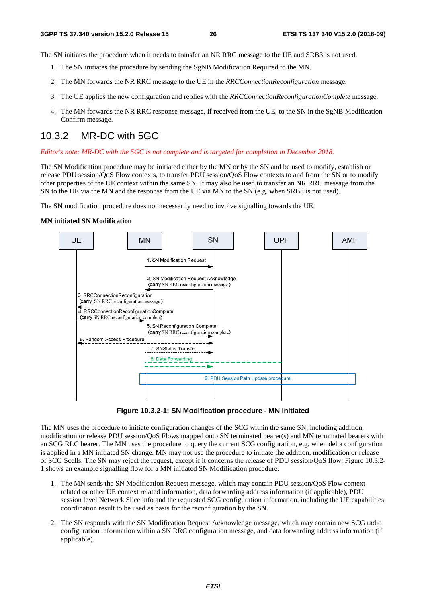The SN initiates the procedure when it needs to transfer an NR RRC message to the UE and SRB3 is not used.

- 1. The SN initiates the procedure by sending the SgNB Modification Required to the MN.
- 2. The MN forwards the NR RRC message to the UE in the *RRCConnectionReconfiguration* message.
- 3. The UE applies the new configuration and replies with the *RRCConnectionReconfigurationComplete* message.
- 4. The MN forwards the NR RRC response message, if received from the UE, to the SN in the SgNB Modification Confirm message.

### 10.3.2 MR-DC with 5GC

#### *Editor's note: MR-DC with the 5GC is not complete and is targeted for completion in December 2018.*

The SN Modification procedure may be initiated either by the MN or by the SN and be used to modify, establish or release PDU session/QoS Flow contexts, to transfer PDU session/QoS Flow contexts to and from the SN or to modify other properties of the UE context within the same SN. It may also be used to transfer an NR RRC message from the SN to the UE via the MN and the response from the UE via MN to the SN (e.g. when SRB3 is not used).

The SN modification procedure does not necessarily need to involve signalling towards the UE.

#### **MN initiated SN Modification**



**Figure 10.3.2-1: SN Modification procedure - MN initiated** 

The MN uses the procedure to initiate configuration changes of the SCG within the same SN, including addition, modification or release PDU session/QoS Flows mapped onto SN terminated bearer(s) and MN terminated bearers with an SCG RLC bearer. The MN uses the procedure to query the current SCG configuration, e.g. when delta configuration is applied in a MN initiated SN change. MN may not use the procedure to initiate the addition, modification or release of SCG Scells. The SN may reject the request, except if it concerns the release of PDU session/QoS flow. Figure 10.3.2- 1 shows an example signalling flow for a MN initiated SN Modification procedure.

- 1. The MN sends the SN Modification Request message, which may contain PDU session/QoS Flow context related or other UE context related information, data forwarding address information (if applicable), PDU session level Network Slice info and the requested SCG configuration information, including the UE capabilities coordination result to be used as basis for the reconfiguration by the SN.
- 2. The SN responds with the SN Modification Request Acknowledge message, which may contain new SCG radio configuration information within a SN RRC configuration message*,* and data forwarding address information (if applicable).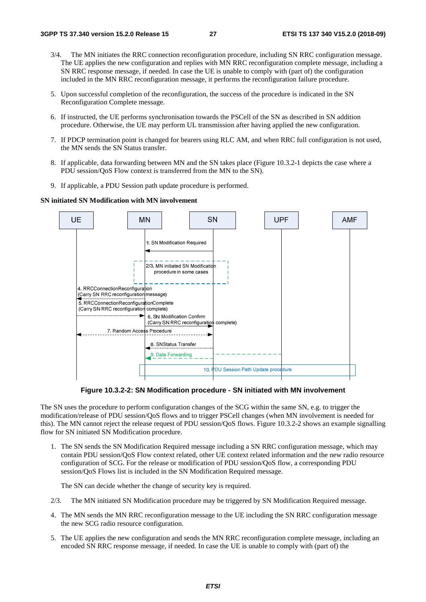- 3/4. The MN initiates the RRC connection reconfiguration procedure, including SN RRC configuration message. The UE applies the new configuration and replies with MN RRC reconfiguration complete message, including a SN RRC response message, if needed. In case the UE is unable to comply with (part of) the configuration included in the MN RRC reconfiguration message, it performs the reconfiguration failure procedure.
- 5. Upon successful completion of the reconfiguration, the success of the procedure is indicated in the SN Reconfiguration Complete message.
- 6. If instructed, the UE performs synchronisation towards the PSCell of the SN as described in SN addition procedure. Otherwise, the UE may perform UL transmission after having applied the new configuration.
- 7. If PDCP termination point is changed for bearers using RLC AM, and when RRC full configuration is not used, the MN sends the SN Status transfer.
- 8. If applicable, data forwarding between MN and the SN takes place (Figure 10.3.2-1 depicts the case where a PDU session/QoS Flow context is transferred from the MN to the SN).
- 9. If applicable, a PDU Session path update procedure is performed.

**SN initiated SN Modification with MN involvement** 



**Figure 10.3.2-2: SN Modification procedure - SN initiated with MN involvement** 

The SN uses the procedure to perform configuration changes of the SCG within the same SN, e.g. to trigger the modification/release of PDU session/QoS flows and to trigger PSCell changes (when MN involvement is needed for this). The MN cannot reject the release request of PDU session/QoS flows. Figure 10.3.2-2 shows an example signalling flow for SN initiated SN Modification procedure.

1. The SN sends the SN Modification Required message including a SN RRC configuration message, which may contain PDU session/QoS Flow context related, other UE context related information and the new radio resource configuration of SCG. For the release or modification of PDU session/QoS flow, a corresponding PDU session/QoS Flows list is included in the SN Modification Required message.

The SN can decide whether the change of security key is required.

- 2/3. The MN initiated SN Modification procedure may be triggered by SN Modification Required message.
- 4. The MN sends the MN RRC reconfiguration message to the UE including the SN RRC configuration message the new SCG radio resource configuration.
- 5. The UE applies the new configuration and sends the MN RRC reconfiguration complete message, including an encoded SN RRC response message, if needed. In case the UE is unable to comply with (part of) the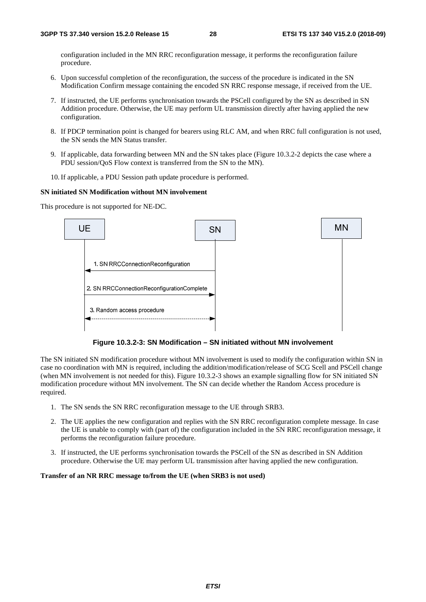configuration included in the MN RRC reconfiguration message, it performs the reconfiguration failure procedure.

- 6. Upon successful completion of the reconfiguration, the success of the procedure is indicated in the SN Modification Confirm message containing the encoded SN RRC response message, if received from the UE.
- 7. If instructed, the UE performs synchronisation towards the PSCell configured by the SN as described in SN Addition procedure. Otherwise, the UE may perform UL transmission directly after having applied the new configuration.
- 8. If PDCP termination point is changed for bearers using RLC AM, and when RRC full configuration is not used, the SN sends the MN Status transfer.
- 9. If applicable, data forwarding between MN and the SN takes place (Figure 10.3.2-2 depicts the case where a PDU session/QoS Flow context is transferred from the SN to the MN).
- 10. If applicable, a PDU Session path update procedure is performed.

#### **SN initiated SN Modification without MN involvement**

This procedure is not supported for NE-DC.



**Figure 10.3.2-3: SN Modification – SN initiated without MN involvement** 

The SN initiated SN modification procedure without MN involvement is used to modify the configuration within SN in case no coordination with MN is required, including the addition/modification/release of SCG Scell and PSCell change (when MN involvement is not needed for this). Figure 10.3.2-3 shows an example signalling flow for SN initiated SN modification procedure without MN involvement. The SN can decide whether the Random Access procedure is required.

- 1. The SN sends the SN RRC reconfiguration message to the UE through SRB3.
- 2. The UE applies the new configuration and replies with the SN RRC reconfiguration complete message. In case the UE is unable to comply with (part of) the configuration included in the SN RRC reconfiguration message, it performs the reconfiguration failure procedure.
- 3. If instructed, the UE performs synchronisation towards the PSCell of the SN as described in SN Addition procedure. Otherwise the UE may perform UL transmission after having applied the new configuration.

#### **Transfer of an NR RRC message to/from the UE (when SRB3 is not used)**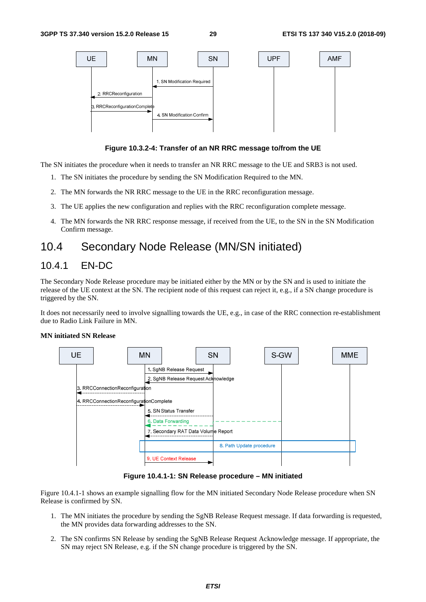

**Figure 10.3.2-4: Transfer of an NR RRC message to/from the UE** 

The SN initiates the procedure when it needs to transfer an NR RRC message to the UE and SRB3 is not used.

- 1. The SN initiates the procedure by sending the SN Modification Required to the MN.
- 2. The MN forwards the NR RRC message to the UE in the RRC reconfiguration message.
- 3. The UE applies the new configuration and replies with the RRC reconfiguration complete message.
- 4. The MN forwards the NR RRC response message, if received from the UE, to the SN in the SN Modification Confirm message.

# 10.4 Secondary Node Release (MN/SN initiated)

### 10.4.1 EN-DC

The Secondary Node Release procedure may be initiated either by the MN or by the SN and is used to initiate the release of the UE context at the SN. The recipient node of this request can reject it, e.g., if a SN change procedure is triggered by the SN.

It does not necessarily need to involve signalling towards the UE, e.g., in case of the RRC connection re-establishment due to Radio Link Failure in MN.



#### **MN initiated SN Release**

**Figure 10.4.1-1: SN Release procedure – MN initiated** 

Figure 10.4.1-1 shows an example signalling flow for the MN initiated Secondary Node Release procedure when SN Release is confirmed by SN.

- 1. The MN initiates the procedure by sending the SgNB Release Request message. If data forwarding is requested, the MN provides data forwarding addresses to the SN.
- 2. The SN confirms SN Release by sending the SgNB Release Request Acknowledge message. If appropriate, the SN may reject SN Release, e.g. if the SN change procedure is triggered by the SN.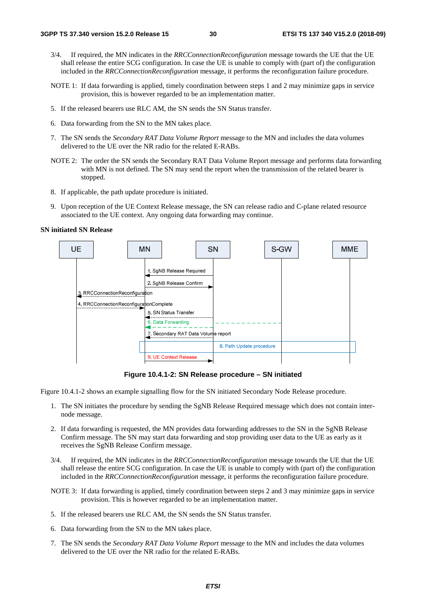- 3/4. If required, the MN indicates in the *RRCConnectionReconfiguration* message towards the UE that the UE shall release the entire SCG configuration. In case the UE is unable to comply with (part of) the configuration included in the *RRCConnectionReconfiguration* message, it performs the reconfiguration failure procedure.
- NOTE 1: If data forwarding is applied, timely coordination between steps 1 and 2 may minimize gaps in service provision, this is however regarded to be an implementation matter.
- 5. If the released bearers use RLC AM, the SN sends the SN Status transfer.
- 6. Data forwarding from the SN to the MN takes place.
- 7. The SN sends the *Secondary RAT Data Volume Report* message to the MN and includes the data volumes delivered to the UE over the NR radio for the related E-RABs.
- NOTE 2: The order the SN sends the Secondary RAT Data Volume Report message and performs data forwarding with MN is not defined. The SN may send the report when the transmission of the related bearer is stopped.
- 8. If applicable, the path update procedure is initiated.
- 9. Upon reception of the UE Context Release message, the SN can release radio and C-plane related resource associated to the UE context. Any ongoing data forwarding may continue.

#### **SN initiated SN Release**



**Figure 10.4.1-2: SN Release procedure – SN initiated** 

Figure 10.4.1-2 shows an example signalling flow for the SN initiated Secondary Node Release procedure.

- 1. The SN initiates the procedure by sending the SgNB Release Required message which does not contain internode message.
- 2. If data forwarding is requested, the MN provides data forwarding addresses to the SN in the SgNB Release Confirm message. The SN may start data forwarding and stop providing user data to the UE as early as it receives the SgNB Release Confirm message.
- 3/4. If required, the MN indicates in the *RRCConnectionReconfiguration* message towards the UE that the UE shall release the entire SCG configuration. In case the UE is unable to comply with (part of) the configuration included in the *RRCConnectionReconfiguration* message, it performs the reconfiguration failure procedure.
- NOTE 3: If data forwarding is applied, timely coordination between steps 2 and 3 may minimize gaps in service provision. This is however regarded to be an implementation matter.
- 5. If the released bearers use RLC AM, the SN sends the SN Status transfer.
- 6. Data forwarding from the SN to the MN takes place.
- 7. The SN sends the *Secondary RAT Data Volume Report* message to the MN and includes the data volumes delivered to the UE over the NR radio for the related E-RABs.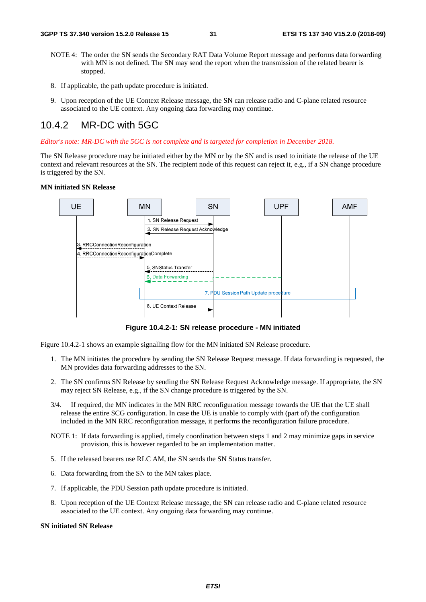- NOTE 4: The order the SN sends the Secondary RAT Data Volume Report message and performs data forwarding with MN is not defined. The SN may send the report when the transmission of the related bearer is stopped.
- 8. If applicable, the path update procedure is initiated.
- 9. Upon reception of the UE Context Release message, the SN can release radio and C-plane related resource associated to the UE context. Any ongoing data forwarding may continue.

### 10.4.2 MR-DC with 5GC

*Editor's note: MR-DC with the 5GC is not complete and is targeted for completion in December 2018.* 

The SN Release procedure may be initiated either by the MN or by the SN and is used to initiate the release of the UE context and relevant resources at the SN. The recipient node of this request can reject it, e.g., if a SN change procedure is triggered by the SN.

#### **MN initiated SN Release**



**Figure 10.4.2-1: SN release procedure - MN initiated** 

Figure 10.4.2-1 shows an example signalling flow for the MN initiated SN Release procedure.

- 1. The MN initiates the procedure by sending the SN Release Request message. If data forwarding is requested, the MN provides data forwarding addresses to the SN.
- 2. The SN confirms SN Release by sending the SN Release Request Acknowledge message. If appropriate, the SN may reject SN Release, e.g., if the SN change procedure is triggered by the SN.
- 3/4. If required, the MN indicates in the MN RRC reconfiguration message towards the UE that the UE shall release the entire SCG configuration. In case the UE is unable to comply with (part of) the configuration included in the MN RRC reconfiguration message, it performs the reconfiguration failure procedure.
- NOTE 1: If data forwarding is applied, timely coordination between steps 1 and 2 may minimize gaps in service provision, this is however regarded to be an implementation matter.
- 5. If the released bearers use RLC AM, the SN sends the SN Status transfer.
- 6. Data forwarding from the SN to the MN takes place.
- 7. If applicable, the PDU Session path update procedure is initiated.
- 8. Upon reception of the UE Context Release message, the SN can release radio and C-plane related resource associated to the UE context. Any ongoing data forwarding may continue.

#### **SN initiated SN Release**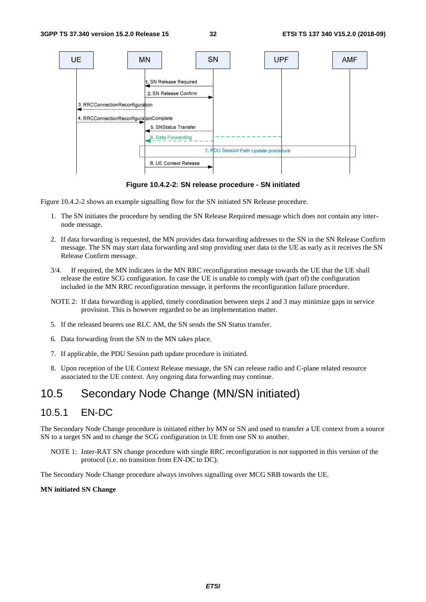

**Figure 10.4.2-2: SN release procedure - SN initiated** 

Figure 10.4.2-2 shows an example signalling flow for the SN initiated SN Release procedure.

- 1. The SN initiates the procedure by sending the SN Release Required message which does not contain any internode message.
- 2. If data forwarding is requested, the MN provides data forwarding addresses to the SN in the SN Release Confirm message. The SN may start data forwarding and stop providing user data to the UE as early as it receives the SN Release Confirm message.
- 3/4. If required, the MN indicates in the MN RRC reconfiguration message towards the UE that the UE shall release the entire SCG configuration. In case the UE is unable to comply with (part of) the configuration included in the MN RRC reconfiguration message, it performs the reconfiguration failure procedure.
- NOTE 2: If data forwarding is applied, timely coordination between steps 2 and 3 may minimize gaps in service provision. This is however regarded to be an implementation matter.
- 5. If the released bearers use RLC AM, the SN sends the SN Status transfer.
- 6. Data forwarding from the SN to the MN takes place.
- 7. If applicable, the PDU Session path update procedure is initiated.
- 8. Upon reception of the UE Context Release message, the SN can release radio and C-plane related resource associated to the UE context. Any ongoing data forwarding may continue.

# 10.5 Secondary Node Change (MN/SN initiated)

### 10.5.1 EN-DC

The Secondary Node Change procedure is initiated either by MN or SN and used to transfer a UE context from a source SN to a target SN and to change the SCG configuration in UE from one SN to another.

NOTE 1: Inter-RAT SN change procedure with single RRC reconfiguration is not supported in this version of the protocol (i.e. no transition from EN-DC to DC).

The Secondary Node Change procedure always involves signalling over MCG SRB towards the UE.

#### **MN initiated SN Change**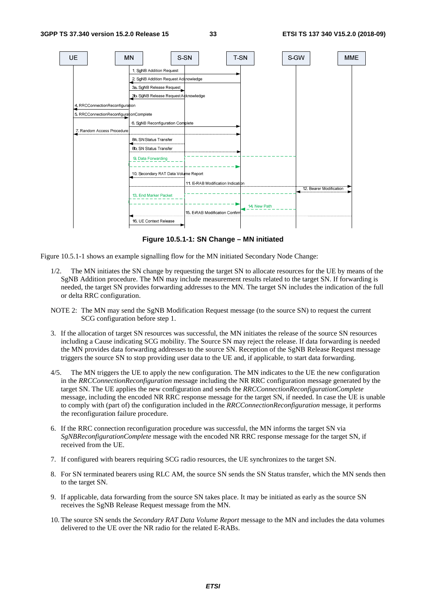

**Figure 10.5.1-1: SN Change – MN initiated** 

Figure 10.5.1-1 shows an example signalling flow for the MN initiated Secondary Node Change:

- 1/2. The MN initiates the SN change by requesting the target SN to allocate resources for the UE by means of the SgNB Addition procedure. The MN may include measurement results related to the target SN. If forwarding is needed, the target SN provides forwarding addresses to the MN. The target SN includes the indication of the full or delta RRC configuration.
- NOTE 2: The MN may send the SgNB Modification Request message (to the source SN) to request the current SCG configuration before step 1.
- 3. If the allocation of target SN resources was successful, the MN initiates the release of the source SN resources including a Cause indicating SCG mobility. The Source SN may reject the release. If data forwarding is needed the MN provides data forwarding addresses to the source SN. Reception of the SgNB Release Request message triggers the source SN to stop providing user data to the UE and, if applicable, to start data forwarding.
- 4/5. The MN triggers the UE to apply the new configuration. The MN indicates to the UE the new configuration in the *RRCConnectionReconfiguration* message including the NR RRC configuration message generated by the target SN. The UE applies the new configuration and sends the *RRCConnectionReconfigurationComplete* message, including the encoded NR RRC response message for the target SN, if needed. In case the UE is unable to comply with (part of) the configuration included in the *RRCConnectionReconfiguration* message, it performs the reconfiguration failure procedure.
- 6. If the RRC connection reconfiguration procedure was successful, the MN informs the target SN via *SgNBReconfigurationComplete* message with the encoded NR RRC response message for the target SN, if received from the UE.
- 7. If configured with bearers requiring SCG radio resources, the UE synchronizes to the target SN.
- 8. For SN terminated bearers using RLC AM, the source SN sends the SN Status transfer, which the MN sends then to the target SN.
- 9. If applicable, data forwarding from the source SN takes place. It may be initiated as early as the source SN receives the SgNB Release Request message from the MN.
- 10. The source SN sends the *Secondary RAT Data Volume Report* message to the MN and includes the data volumes delivered to the UE over the NR radio for the related E-RABs.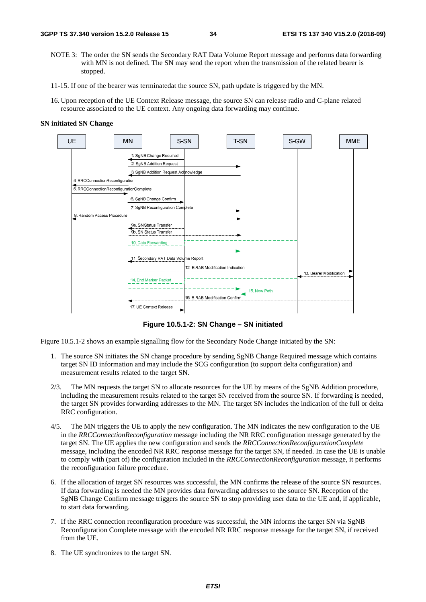- NOTE 3: The order the SN sends the Secondary RAT Data Volume Report message and performs data forwarding with MN is not defined. The SN may send the report when the transmission of the related bearer is stopped.
- 11-15. If one of the bearer was terminatedat the source SN, path update is triggered by the MN.
- 16. Upon reception of the UE Context Release message, the source SN can release radio and C-plane related resource associated to the UE context. Any ongoing data forwarding may continue.

#### **SN initiated SN Change**



**Figure 10.5.1-2: SN Change – SN initiated** 

Figure 10.5.1-2 shows an example signalling flow for the Secondary Node Change initiated by the SN:

- 1. The source SN initiates the SN change procedure by sending SgNB Change Required message which contains target SN ID information and may include the SCG configuration (to support delta configuration) and measurement results related to the target SN.
- 2/3. The MN requests the target SN to allocate resources for the UE by means of the SgNB Addition procedure, including the measurement results related to the target SN received from the source SN. If forwarding is needed, the target SN provides forwarding addresses to the MN. The target SN includes the indication of the full or delta RRC configuration.
- 4/5. The MN triggers the UE to apply the new configuration. The MN indicates the new configuration to the UE in the *RRCConnectionReconfiguration* message including the NR RRC configuration message generated by the target SN. The UE applies the new configuration and sends the *RRCConnectionReconfigurationComplete* message, including the encoded NR RRC response message for the target SN, if needed. In case the UE is unable to comply with (part of) the configuration included in the *RRCConnectionReconfiguration* message, it performs the reconfiguration failure procedure.
- 6. If the allocation of target SN resources was successful, the MN confirms the release of the source SN resources. If data forwarding is needed the MN provides data forwarding addresses to the source SN. Reception of the SgNB Change Confirm message triggers the source SN to stop providing user data to the UE and, if applicable, to start data forwarding.
- 7. If the RRC connection reconfiguration procedure was successful, the MN informs the target SN via SgNB Reconfiguration Complete message with the encoded NR RRC response message for the target SN, if received from the UE.
- 8. The UE synchronizes to the target SN.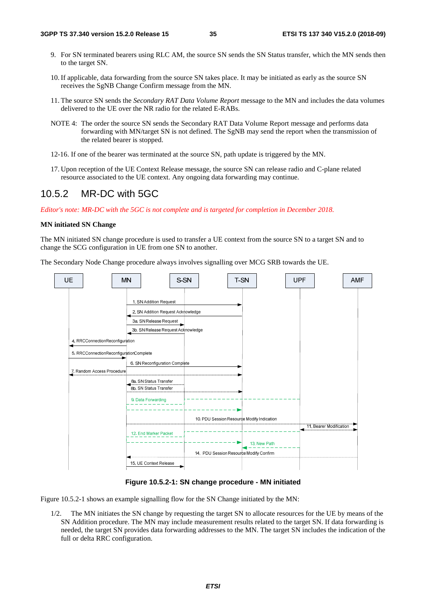- 9. For SN terminated bearers using RLC AM, the source SN sends the SN Status transfer, which the MN sends then to the target SN.
- 10. If applicable, data forwarding from the source SN takes place. It may be initiated as early as the source SN receives the SgNB Change Confirm message from the MN.
- 11. The source SN sends the *Secondary RAT Data Volume Report* message to the MN and includes the data volumes delivered to the UE over the NR radio for the related E-RABs.
- NOTE 4: The order the source SN sends the Secondary RAT Data Volume Report message and performs data forwarding with MN/target SN is not defined. The SgNB may send the report when the transmission of the related bearer is stopped.
- 12-16. If one of the bearer was terminated at the source SN, path update is triggered by the MN.
- 17. Upon reception of the UE Context Release message, the source SN can release radio and C-plane related resource associated to the UE context. Any ongoing data forwarding may continue.

# 10.5.2 MR-DC with 5GC

*Editor's note: MR-DC with the 5GC is not complete and is targeted for completion in December 2018.* 

#### **MN initiated SN Change**

The MN initiated SN change procedure is used to transfer a UE context from the source SN to a target SN and to change the SCG configuration in UE from one SN to another.

The Secondary Node Change procedure always involves signalling over MCG SRB towards the UE.



**Figure 10.5.2-1: SN change procedure - MN initiated** 

Figure 10.5.2-1 shows an example signalling flow for the SN Change initiated by the MN:

1/2. The MN initiates the SN change by requesting the target SN to allocate resources for the UE by means of the SN Addition procedure. The MN may include measurement results related to the target SN. If data forwarding is needed, the target SN provides data forwarding addresses to the MN. The target SN includes the indication of the full or delta RRC configuration.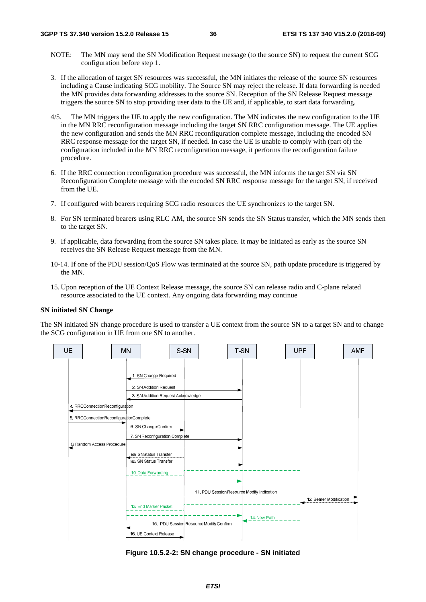- NOTE: The MN may send the SN Modification Request message (to the source SN) to request the current SCG configuration before step 1.
- 3. If the allocation of target SN resources was successful, the MN initiates the release of the source SN resources including a Cause indicating SCG mobility. The Source SN may reject the release. If data forwarding is needed the MN provides data forwarding addresses to the source SN. Reception of the SN Release Request message triggers the source SN to stop providing user data to the UE and, if applicable, to start data forwarding.
- 4/5. The MN triggers the UE to apply the new configuration. The MN indicates the new configuration to the UE in the MN RRC reconfiguration message including the target SN RRC configuration message. The UE applies the new configuration and sends the MN RRC reconfiguration complete message, including the encoded SN RRC response message for the target SN, if needed. In case the UE is unable to comply with (part of) the configuration included in the MN RRC reconfiguration message, it performs the reconfiguration failure procedure.
- 6. If the RRC connection reconfiguration procedure was successful, the MN informs the target SN via SN Reconfiguration Complete message with the encoded SN RRC response message for the target SN, if received from the UE.
- 7. If configured with bearers requiring SCG radio resources the UE synchronizes to the target SN.
- 8. For SN terminated bearers using RLC AM, the source SN sends the SN Status transfer, which the MN sends then to the target SN.
- 9. If applicable, data forwarding from the source SN takes place. It may be initiated as early as the source SN receives the SN Release Request message from the MN.
- 10-14. If one of the PDU session/QoS Flow was terminated at the source SN, path update procedure is triggered by the MN.
- 15. Upon reception of the UE Context Release message, the source SN can release radio and C-plane related resource associated to the UE context. Any ongoing data forwarding may continue

#### **SN initiated SN Change**

The SN initiated SN change procedure is used to transfer a UE context from the source SN to a target SN and to change the SCG configuration in UE from one SN to another.



**Figure 10.5.2-2: SN change procedure - SN initiated**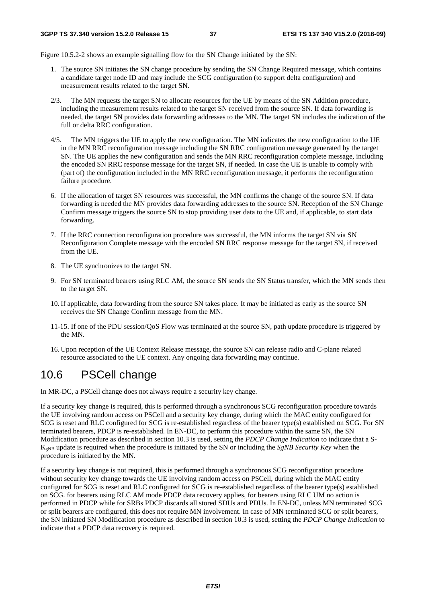Figure 10.5.2-2 shows an example signalling flow for the SN Change initiated by the SN:

- 1. The source SN initiates the SN change procedure by sending the SN Change Required message, which contains a candidate target node ID and may include the SCG configuration (to support delta configuration) and measurement results related to the target SN.
- 2/3. The MN requests the target SN to allocate resources for the UE by means of the SN Addition procedure, including the measurement results related to the target SN received from the source SN. If data forwarding is needed, the target SN provides data forwarding addresses to the MN. The target SN includes the indication of the full or delta RRC configuration.
- 4/5. The MN triggers the UE to apply the new configuration. The MN indicates the new configuration to the UE in the MN RRC reconfiguration message including the SN RRC configuration message generated by the target SN. The UE applies the new configuration and sends the MN RRC reconfiguration complete message, including the encoded SN RRC response message for the target SN, if needed. In case the UE is unable to comply with (part of) the configuration included in the MN RRC reconfiguration message, it performs the reconfiguration failure procedure.
- 6. If the allocation of target SN resources was successful, the MN confirms the change of the source SN. If data forwarding is needed the MN provides data forwarding addresses to the source SN. Reception of the SN Change Confirm message triggers the source SN to stop providing user data to the UE and, if applicable, to start data forwarding.
- 7. If the RRC connection reconfiguration procedure was successful, the MN informs the target SN via SN Reconfiguration Complete message with the encoded SN RRC response message for the target SN, if received from the UE.
- 8. The UE synchronizes to the target SN.
- 9. For SN terminated bearers using RLC AM, the source SN sends the SN Status transfer, which the MN sends then to the target SN.
- 10. If applicable, data forwarding from the source SN takes place. It may be initiated as early as the source SN receives the SN Change Confirm message from the MN.
- 11-15. If one of the PDU session/QoS Flow was terminated at the source SN, path update procedure is triggered by the MN.
- 16. Upon reception of the UE Context Release message, the source SN can release radio and C-plane related resource associated to the UE context. Any ongoing data forwarding may continue.

# 10.6 PSCell change

In MR-DC, a PSCell change does not always require a security key change.

If a security key change is required, this is performed through a synchronous SCG reconfiguration procedure towards the UE involving random access on PSCell and a security key change, during which the MAC entity configured for SCG is reset and RLC configured for SCG is re-established regardless of the bearer type(s) established on SCG. For SN terminated bearers, PDCP is re-established. In EN-DC, to perform this procedure within the same SN, the SN Modification procedure as described in section 10.3 is used, setting the *PDCP Change Indication* to indicate that a S-KgNB update is required when the procedure is initiated by the SN or including the *SgNB Security Key* when the procedure is initiated by the MN.

If a security key change is not required, this is performed through a synchronous SCG reconfiguration procedure without security key change towards the UE involving random access on PSCell, during which the MAC entity configured for SCG is reset and RLC configured for SCG is re-established regardless of the bearer type(s) established on SCG. for bearers using RLC AM mode PDCP data recovery applies, for bearers using RLC UM no action is performed in PDCP while for SRBs PDCP discards all stored SDUs and PDUs. In EN-DC, unless MN terminated SCG or split bearers are configured, this does not require MN involvement. In case of MN terminated SCG or split bearers, the SN initiated SN Modification procedure as described in section 10.3 is used, setting the *PDCP Change Indication* to indicate that a PDCP data recovery is required.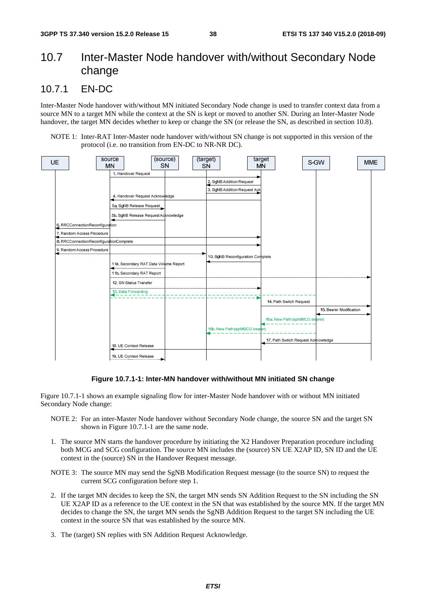# 10.7 Inter-Master Node handover with/without Secondary Node change

### 10.7.1 EN-DC

Inter-Master Node handover with/without MN initiated Secondary Node change is used to transfer context data from a source MN to a target MN while the context at the SN is kept or moved to another SN. During an Inter-Master Node handover, the target MN decides whether to keep or change the SN (or release the SN, as described in section 10.8).

NOTE 1: Inter-RAT Inter-Master node handover with/without SN change is not supported in this version of the protocol (i.e. no transition from EN-DC to NR-NR DC).



#### **Figure 10.7.1-1: Inter-MN handover with/without MN initiated SN change**

Figure 10.7.1-1 shows an example signaling flow for inter-Master Node handover with or without MN initiated Secondary Node change:

- NOTE 2: For an inter-Master Node handover without Secondary Node change, the source SN and the target SN shown in Figure 10.7.1-1 are the same node.
- 1. The source MN starts the handover procedure by initiating the X2 Handover Preparation procedure including both MCG and SCG configuration. The source MN includes the (source) SN UE X2AP ID, SN ID and the UE context in the (source) SN in the Handover Request message.
- NOTE 3: The source MN may send the SgNB Modification Request message (to the source SN) to request the current SCG configuration before step 1.
- 2. If the target MN decides to keep the SN, the target MN sends SN Addition Request to the SN including the SN UE X2AP ID as a reference to the UE context in the SN that was established by the source MN. If the target MN decides to change the SN, the target MN sends the SgNB Addition Request to the target SN including the UE context in the source SN that was established by the source MN.
- 3. The (target) SN replies with SN Addition Request Acknowledge.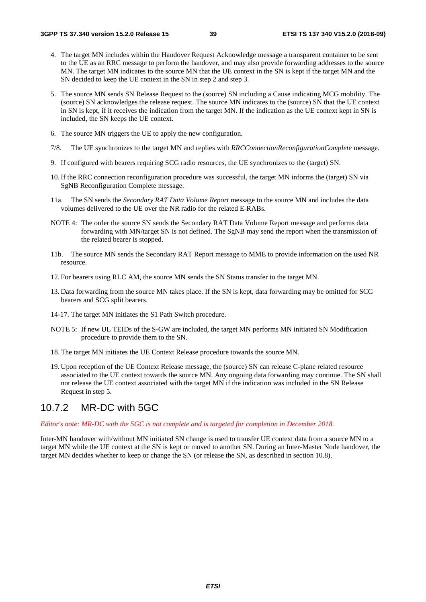- 4. The target MN includes within the Handover Request Acknowledge message a transparent container to be sent to the UE as an RRC message to perform the handover, and may also provide forwarding addresses to the source MN. The target MN indicates to the source MN that the UE context in the SN is kept if the target MN and the SN decided to keep the UE context in the SN in step 2 and step 3.
- 5. The source MN sends SN Release Request to the (source) SN including a Cause indicating MCG mobility. The (source) SN acknowledges the release request. The source MN indicates to the (source) SN that the UE context in SN is kept, if it receives the indication from the target MN. If the indication as the UE context kept in SN is included, the SN keeps the UE context.
- 6. The source MN triggers the UE to apply the new configuration.
- 7/8. The UE synchronizes to the target MN and replies with *RRCConnectionReconfigurationComplete* message.
- 9. If configured with bearers requiring SCG radio resources, the UE synchronizes to the (target) SN.
- 10. If the RRC connection reconfiguration procedure was successful, the target MN informs the (target) SN via SgNB Reconfiguration Complete message.
- 11a. The SN sends the *Secondary RAT Data Volume Report* message to the source MN and includes the data volumes delivered to the UE over the NR radio for the related E-RABs.
- NOTE 4: The order the source SN sends the Secondary RAT Data Volume Report message and performs data forwarding with MN/target SN is not defined. The SgNB may send the report when the transmission of the related bearer is stopped.
- 11b. The source MN sends the Secondary RAT Report message to MME to provide information on the used NR resource.
- 12. For bearers using RLC AM, the source MN sends the SN Status transfer to the target MN.
- 13. Data forwarding from the source MN takes place. If the SN is kept, data forwarding may be omitted for SCG bearers and SCG split bearers.
- 14-17. The target MN initiates the S1 Path Switch procedure.
- NOTE 5: If new UL TEIDs of the S-GW are included, the target MN performs MN initiated SN Modification procedure to provide them to the SN.
- 18. The target MN initiates the UE Context Release procedure towards the source MN.
- 19. Upon reception of the UE Context Release message, the (source) SN can release C-plane related resource associated to the UE context towards the source MN. Any ongoing data forwarding may continue. The SN shall not release the UE context associated with the target MN if the indication was included in the SN Release Request in step 5.

### 10.7.2 MR-DC with 5GC

*Editor's note: MR-DC with the 5GC is not complete and is targeted for completion in December 2018.* 

Inter-MN handover with/without MN initiated SN change is used to transfer UE context data from a source MN to a target MN while the UE context at the SN is kept or moved to another SN. During an Inter-Master Node handover, the target MN decides whether to keep or change the SN (or release the SN, as described in section 10.8).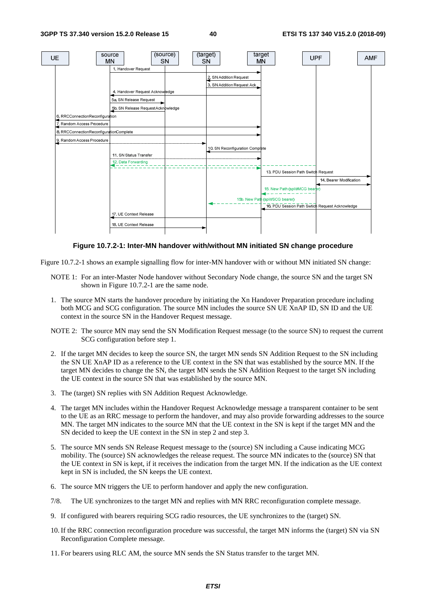

**Figure 10.7.2-1: Inter-MN handover with/without MN initiated SN change procedure** 

Figure 10.7.2-1 shows an example signalling flow for inter-MN handover with or without MN initiated SN change:

- NOTE 1: For an inter-Master Node handover without Secondary Node change, the source SN and the target SN shown in Figure 10.7.2-1 are the same node.
- 1. The source MN starts the handover procedure by initiating the Xn Handover Preparation procedure including both MCG and SCG configuration. The source MN includes the source SN UE XnAP ID, SN ID and the UE context in the source SN in the Handover Request message.
- NOTE 2: The source MN may send the SN Modification Request message (to the source SN) to request the current SCG configuration before step 1.
- 2. If the target MN decides to keep the source SN, the target MN sends SN Addition Request to the SN including the SN UE XnAP ID as a reference to the UE context in the SN that was established by the source MN. If the target MN decides to change the SN, the target MN sends the SN Addition Request to the target SN including the UE context in the source SN that was established by the source MN.
- 3. The (target) SN replies with SN Addition Request Acknowledge.
- 4. The target MN includes within the Handover Request Acknowledge message a transparent container to be sent to the UE as an RRC message to perform the handover, and may also provide forwarding addresses to the source MN. The target MN indicates to the source MN that the UE context in the SN is kept if the target MN and the SN decided to keep the UE context in the SN in step 2 and step 3.
- 5. The source MN sends SN Release Request message to the (source) SN including a Cause indicating MCG mobility. The (source) SN acknowledges the release request. The source MN indicates to the (source) SN that the UE context in SN is kept, if it receives the indication from the target MN. If the indication as the UE context kept in SN is included, the SN keeps the UE context.
- 6. The source MN triggers the UE to perform handover and apply the new configuration.
- 7/8. The UE synchronizes to the target MN and replies with MN RRC reconfiguration complete message.
- 9. If configured with bearers requiring SCG radio resources, the UE synchronizes to the (target) SN.
- 10. If the RRC connection reconfiguration procedure was successful, the target MN informs the (target) SN via SN Reconfiguration Complete message.
- 11. For bearers using RLC AM, the source MN sends the SN Status transfer to the target MN.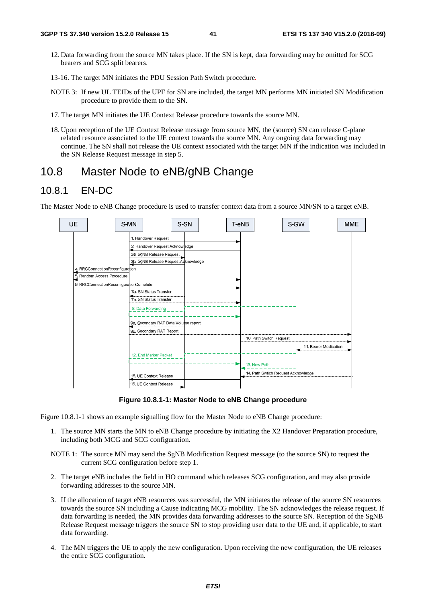- 12. Data forwarding from the source MN takes place. If the SN is kept, data forwarding may be omitted for SCG bearers and SCG split bearers.
- 13-16. The target MN initiates the PDU Session Path Switch procedure*.*
- NOTE 3: If new UL TEIDs of the UPF for SN are included, the target MN performs MN initiated SN Modification procedure to provide them to the SN.
- 17. The target MN initiates the UE Context Release procedure towards the source MN.
- 18. Upon reception of the UE Context Release message from source MN, the (source) SN can release C-plane related resource associated to the UE context towards the source MN. Any ongoing data forwarding may continue. The SN shall not release the UE context associated with the target MN if the indication was included in the SN Release Request message in step 5.

# 10.8 Master Node to eNB/gNB Change

### 10.8.1 EN-DC

The Master Node to eNB Change procedure is used to transfer context data from a source MN/SN to a target eNB.



**Figure 10.8.1-1: Master Node to eNB Change procedure** 

Figure 10.8.1-1 shows an example signalling flow for the Master Node to eNB Change procedure:

- 1. The source MN starts the MN to eNB Change procedure by initiating the X2 Handover Preparation procedure, including both MCG and SCG configuration.
- NOTE 1: The source MN may send the SgNB Modification Request message (to the source SN) to request the current SCG configuration before step 1.
- 2. The target eNB includes the field in HO command which releases SCG configuration, and may also provide forwarding addresses to the source MN.
- 3. If the allocation of target eNB resources was successful, the MN initiates the release of the source SN resources towards the source SN including a Cause indicating MCG mobility. The SN acknowledges the release request. If data forwarding is needed, the MN provides data forwarding addresses to the source SN. Reception of the SgNB Release Request message triggers the source SN to stop providing user data to the UE and, if applicable, to start data forwarding.
- 4. The MN triggers the UE to apply the new configuration. Upon receiving the new configuration, the UE releases the entire SCG configuration.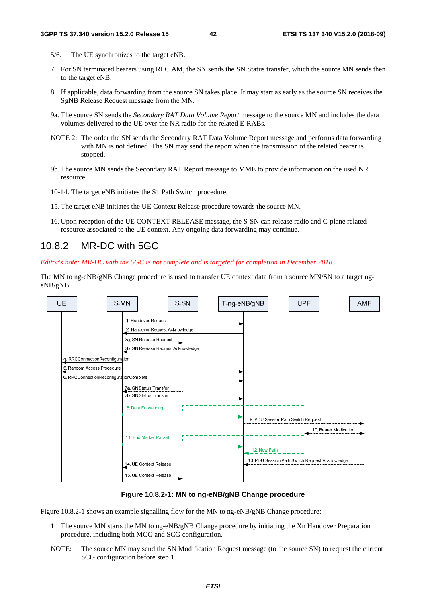- 5/6. The UE synchronizes to the target eNB.
- 7. For SN terminated bearers using RLC AM, the SN sends the SN Status transfer, which the source MN sends then to the target eNB.
- 8. If applicable, data forwarding from the source SN takes place. It may start as early as the source SN receives the SgNB Release Request message from the MN.
- 9a. The source SN sends the *Secondary RAT Data Volume Report* message to the source MN and includes the data volumes delivered to the UE over the NR radio for the related E-RABs.
- NOTE 2: The order the SN sends the Secondary RAT Data Volume Report message and performs data forwarding with MN is not defined. The SN may send the report when the transmission of the related bearer is stopped.
- 9b. The source MN sends the Secondary RAT Report message to MME to provide information on the used NR resource.
- 10-14. The target eNB initiates the S1 Path Switch procedure.
- 15. The target eNB initiates the UE Context Release procedure towards the source MN.
- 16. Upon reception of the UE CONTEXT RELEASE message, the S-SN can release radio and C-plane related resource associated to the UE context. Any ongoing data forwarding may continue.

### 10.8.2 MR-DC with 5GC

*Editor's note: MR-DC with the 5GC is not complete and is targeted for completion in December 2018.* 

The MN to ng-eNB/gNB Change procedure is used to transfer UE context data from a source MN/SN to a target ngeNB/gNB.

| <b>UE</b> |                                         | S-MN                   | S-SN                               | T-ng-eNB/gNB |                                    | <b>UPF</b>                                      | <b>AMF</b> |
|-----------|-----------------------------------------|------------------------|------------------------------------|--------------|------------------------------------|-------------------------------------------------|------------|
|           |                                         |                        |                                    |              |                                    |                                                 |            |
|           |                                         | 1. Handover Request    |                                    |              |                                    |                                                 |            |
|           |                                         |                        | 2. Handover Request Acknowledge    |              |                                    |                                                 |            |
|           |                                         | 3a. SN Release Request |                                    |              |                                    |                                                 |            |
|           |                                         |                        | 3b. SN Release Request Acknowledge |              |                                    |                                                 |            |
|           |                                         |                        |                                    |              |                                    |                                                 |            |
|           | 4. RRCConnectionReconfiguration         |                        |                                    |              |                                    |                                                 |            |
|           | 5. Random Access Procedure              |                        |                                    |              |                                    |                                                 |            |
|           | 6. RRCConnectionReconfigurationComplete |                        |                                    |              |                                    |                                                 |            |
|           |                                         | 7a. SN Status Transfer |                                    |              |                                    |                                                 |            |
|           |                                         | 7b. SN Status Transfer |                                    |              |                                    |                                                 |            |
|           |                                         |                        |                                    |              |                                    |                                                 |            |
|           |                                         | 8. Data Forwarding     |                                    |              |                                    |                                                 |            |
|           |                                         |                        |                                    |              | 9. PDU Session Path Switch Request |                                                 |            |
|           |                                         |                        |                                    |              |                                    | 10. Bearer Modication                           |            |
|           |                                         | 11. End Marker Packet  |                                    |              |                                    |                                                 |            |
|           |                                         |                        |                                    |              |                                    |                                                 |            |
|           |                                         |                        |                                    |              | 12. New Path                       |                                                 |            |
|           |                                         |                        |                                    |              |                                    | 13. PDU Session Path Swtich Request Acknowledge |            |
|           |                                         | 14. UE Context Release |                                    |              |                                    |                                                 |            |
|           |                                         | 15. UE Context Release |                                    |              |                                    |                                                 |            |
|           |                                         |                        |                                    |              |                                    |                                                 |            |

#### **Figure 10.8.2-1: MN to ng-eNB/gNB Change procedure**

Figure 10.8.2-1 shows an example signalling flow for the MN to ng-eNB/gNB Change procedure:

- 1. The source MN starts the MN to ng-eNB/gNB Change procedure by initiating the Xn Handover Preparation procedure, including both MCG and SCG configuration.
- NOTE: The source MN may send the SN Modification Request message (to the source SN) to request the current SCG configuration before step 1.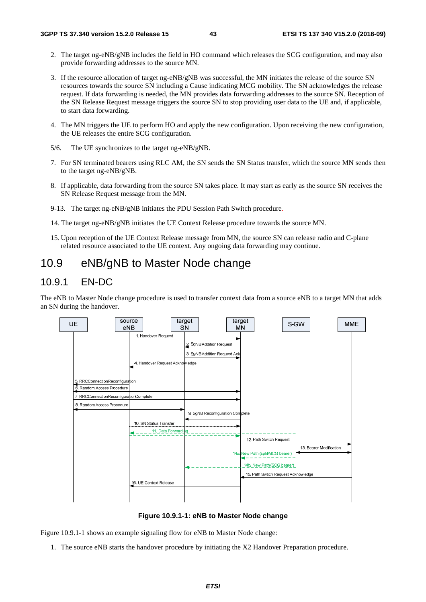- 2. The target ng-eNB/gNB includes the field in HO command which releases the SCG configuration, and may also provide forwarding addresses to the source MN.
- 3. If the resource allocation of target ng-eNB/gNB was successful, the MN initiates the release of the source SN resources towards the source SN including a Cause indicating MCG mobility. The SN acknowledges the release request. If data forwarding is needed, the MN provides data forwarding addresses to the source SN. Reception of the SN Release Request message triggers the source SN to stop providing user data to the UE and, if applicable, to start data forwarding.
- 4. The MN triggers the UE to perform HO and apply the new configuration. Upon receiving the new configuration, the UE releases the entire SCG configuration.
- 5/6. The UE synchronizes to the target ng-eNB/gNB.
- 7. For SN terminated bearers using RLC AM, the SN sends the SN Status transfer, which the source MN sends then to the target ng-eNB/gNB.
- 8. If applicable, data forwarding from the source SN takes place. It may start as early as the source SN receives the SN Release Request message from the MN.
- 9-13. The target ng-eNB/gNB initiates the PDU Session Path Switch procedure*.*
- 14. The target ng-eNB/gNB initiates the UE Context Release procedure towards the source MN.
- 15. Upon reception of the UE Context Release message from MN, the source SN can release radio and C-plane related resource associated to the UE context. Any ongoing data forwarding may continue.

# 10.9 eNB/gNB to Master Node change

### 10.9.1 EN-DC

The eNB to Master Node change procedure is used to transfer context data from a source eNB to a target MN that adds an SN during the handover.



**Figure 10.9.1-1: eNB to Master Node change** 

Figure 10.9.1-1 shows an example signaling flow for eNB to Master Node change:

1. The source eNB starts the handover procedure by initiating the X2 Handover Preparation procedure.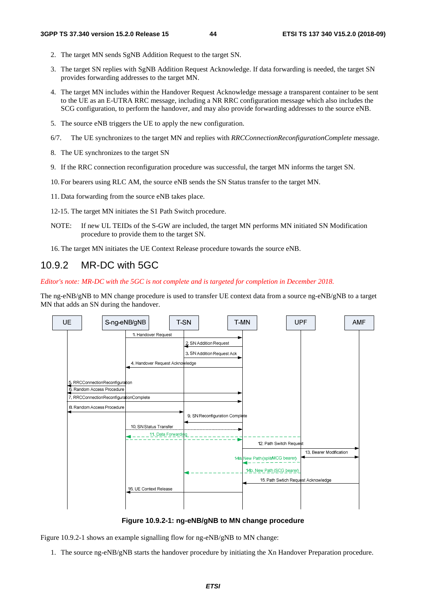- 2. The target MN sends SgNB Addition Request to the target SN.
- 3. The target SN replies with SgNB Addition Request Acknowledge. If data forwarding is needed, the target SN provides forwarding addresses to the target MN.
- 4. The target MN includes within the Handover Request Acknowledge message a transparent container to be sent to the UE as an E-UTRA RRC message, including a NR RRC configuration message which also includes the SCG configuration, to perform the handover, and may also provide forwarding addresses to the source eNB.
- 5. The source eNB triggers the UE to apply the new configuration.
- 6/7. The UE synchronizes to the target MN and replies with *RRCConnectionReconfigurationComplete* message.
- 8. The UE synchronizes to the target SN
- 9. If the RRC connection reconfiguration procedure was successful, the target MN informs the target SN.
- 10. For bearers using RLC AM, the source eNB sends the SN Status transfer to the target MN.
- 11. Data forwarding from the source eNB takes place.
- 12-15. The target MN initiates the S1 Path Switch procedure.
- NOTE: If new UL TEIDs of the S-GW are included, the target MN performs MN initiated SN Modification procedure to provide them to the target SN.
- 16. The target MN initiates the UE Context Release procedure towards the source eNB.

### 10.9.2 MR-DC with 5GC

*Editor's note: MR-DC with the 5GC is not complete and is targeted for completion in December 2018.* 

The ng-eNB/gNB to MN change procedure is used to transfer UE context data from a source ng-eNB/gNB to a target MN that adds an SN during the handover.



**Figure 10.9.2-1: ng-eNB/gNB to MN change procedure** 

Figure 10.9.2-1 shows an example signalling flow for ng-eNB/gNB to MN change:

1. The source ng-eNB/gNB starts the handover procedure by initiating the Xn Handover Preparation procedure.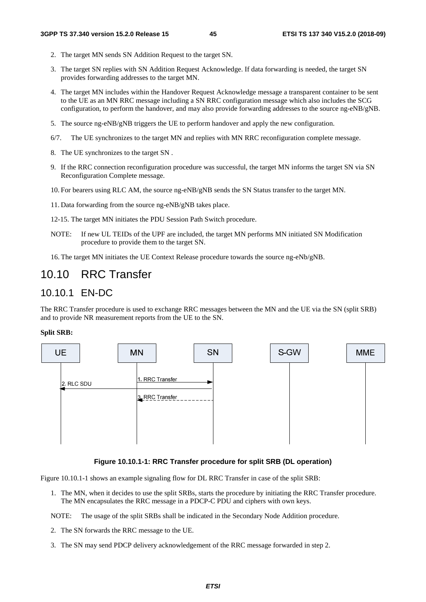- 2. The target MN sends SN Addition Request to the target SN.
- 3. The target SN replies with SN Addition Request Acknowledge. If data forwarding is needed, the target SN provides forwarding addresses to the target MN.
- 4. The target MN includes within the Handover Request Acknowledge message a transparent container to be sent to the UE as an MN RRC message including a SN RRC configuration message which also includes the SCG configuration, to perform the handover, and may also provide forwarding addresses to the source ng-eNB/gNB.
- 5. The source ng-eNB/gNB triggers the UE to perform handover and apply the new configuration.
- 6/7. The UE synchronizes to the target MN and replies with MN RRC reconfiguration complete message.
- 8. The UE synchronizes to the target SN .
- 9. If the RRC connection reconfiguration procedure was successful, the target MN informs the target SN via SN Reconfiguration Complete message.
- 10. For bearers using RLC AM, the source ng-eNB/gNB sends the SN Status transfer to the target MN.
- 11. Data forwarding from the source ng-eNB/gNB takes place.
- 12-15. The target MN initiates the PDU Session Path Switch procedure.
- NOTE: If new UL TEIDs of the UPF are included, the target MN performs MN initiated SN Modification procedure to provide them to the target SN.
- 16. The target MN initiates the UE Context Release procedure towards the source ng-eNb/gNB.

# 10.10 RRC Transfer

### 10.10.1 EN-DC

The RRC Transfer procedure is used to exchange RRC messages between the MN and the UE via the SN (split SRB) and to provide NR measurement reports from the UE to the SN.

#### **Split SRB:**



#### **Figure 10.10.1-1: RRC Transfer procedure for split SRB (DL operation)**

Figure 10.10.1-1 shows an example signaling flow for DL RRC Transfer in case of the split SRB:

1. The MN, when it decides to use the split SRBs, starts the procedure by initiating the RRC Transfer procedure. The MN encapsulates the RRC message in a PDCP-C PDU and ciphers with own keys.

NOTE: The usage of the split SRBs shall be indicated in the Secondary Node Addition procedure.

- 2. The SN forwards the RRC message to the UE.
- 3. The SN may send PDCP delivery acknowledgement of the RRC message forwarded in step 2.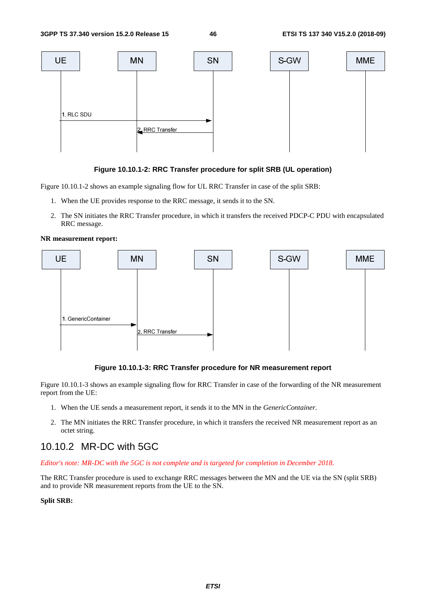

#### **Figure 10.10.1-2: RRC Transfer procedure for split SRB (UL operation)**

Figure 10.10.1-2 shows an example signaling flow for UL RRC Transfer in case of the split SRB:

- 1. When the UE provides response to the RRC message, it sends it to the SN.
- 2. The SN initiates the RRC Transfer procedure, in which it transfers the received PDCP-C PDU with encapsulated RRC message.

#### **NR measurement report:**



#### **Figure 10.10.1-3: RRC Transfer procedure for NR measurement report**

Figure 10.10.1-3 shows an example signaling flow for RRC Transfer in case of the forwarding of the NR measurement report from the UE:

- 1. When the UE sends a measurement report, it sends it to the MN in the *GenericContainer*.
- 2. The MN initiates the RRC Transfer procedure, in which it transfers the received NR measurement report as an octet string.

### 10.10.2 MR-DC with 5GC

*Editor's note: MR-DC with the 5GC is not complete and is targeted for completion in December 2018.* 

The RRC Transfer procedure is used to exchange RRC messages between the MN and the UE via the SN (split SRB) and to provide NR measurement reports from the UE to the SN.

#### **Split SRB:**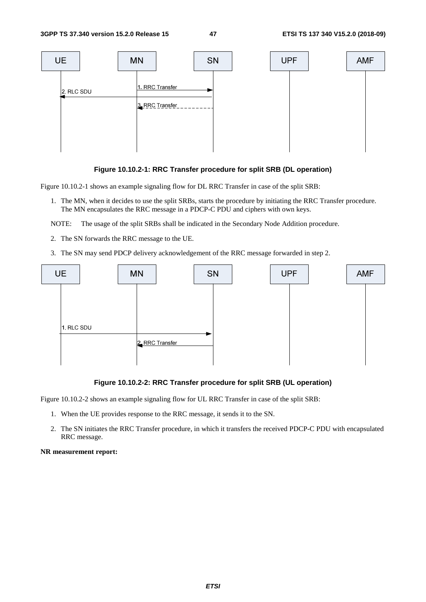

#### **Figure 10.10.2-1: RRC Transfer procedure for split SRB (DL operation)**

Figure 10.10.2-1 shows an example signaling flow for DL RRC Transfer in case of the split SRB:

- 1. The MN, when it decides to use the split SRBs, starts the procedure by initiating the RRC Transfer procedure. The MN encapsulates the RRC message in a PDCP-C PDU and ciphers with own keys.
- NOTE: The usage of the split SRBs shall be indicated in the Secondary Node Addition procedure.
- 2. The SN forwards the RRC message to the UE.
- 3. The SN may send PDCP delivery acknowledgement of the RRC message forwarded in step 2.



#### **Figure 10.10.2-2: RRC Transfer procedure for split SRB (UL operation)**

Figure 10.10.2-2 shows an example signaling flow for UL RRC Transfer in case of the split SRB:

- 1. When the UE provides response to the RRC message, it sends it to the SN.
- 2. The SN initiates the RRC Transfer procedure, in which it transfers the received PDCP-C PDU with encapsulated RRC message.

#### **NR measurement report:**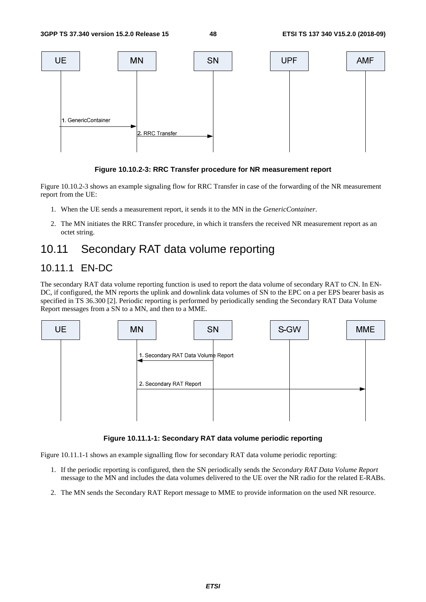

#### **Figure 10.10.2-3: RRC Transfer procedure for NR measurement report**

Figure 10.10.2-3 shows an example signaling flow for RRC Transfer in case of the forwarding of the NR measurement report from the UE:

- 1. When the UE sends a measurement report, it sends it to the MN in the *GenericContainer*.
- 2. The MN initiates the RRC Transfer procedure, in which it transfers the received NR measurement report as an octet string.

# 10.11 Secondary RAT data volume reporting

### 10.11.1 EN-DC

The secondary RAT data volume reporting function is used to report the data volume of secondary RAT to CN. In EN-DC, if configured, the MN reports the uplink and downlink data volumes of SN to the EPC on a per EPS bearer basis as specified in TS 36.300 [2]. Periodic reporting is performed by periodically sending the Secondary RAT Data Volume Report messages from a SN to a MN, and then to a MME.



**Figure 10.11.1-1: Secondary RAT data volume periodic reporting** 

Figure 10.11.1-1 shows an example signalling flow for secondary RAT data volume periodic reporting:

- 1. If the periodic reporting is configured, then the SN periodically sends the *Secondary RAT Data Volume Report* message to the MN and includes the data volumes delivered to the UE over the NR radio for the related E-RABs.
- 2. The MN sends the Secondary RAT Report message to MME to provide information on the used NR resource.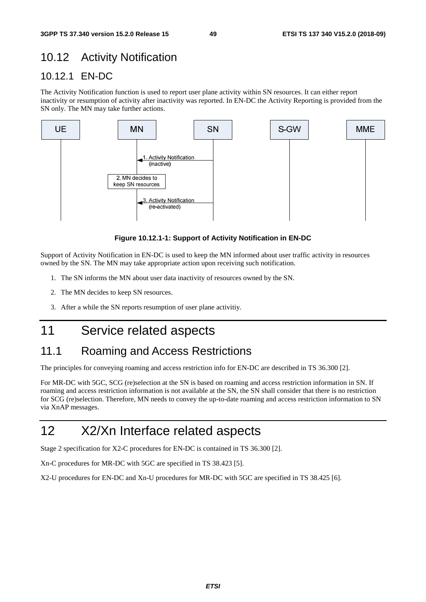# 10.12 Activity Notification

# 10.12.1 EN-DC

The Activity Notification function is used to report user plane activity within SN resources. It can either report inactivity or resumption of activity after inactivity was reported. In EN-DC the Activity Reporting is provided from the SN only. The MN may take further actions.



**Figure 10.12.1-1: Support of Activity Notification in EN-DC** 

Support of Activity Notification in EN-DC is used to keep the MN informed about user traffic activity in resources owned by the SN. The MN may take appropriate action upon receiving such notification.

- 1. The SN informs the MN about user data inactivity of resources owned by the SN.
- 2. The MN decides to keep SN resources.
- 3. After a while the SN reports resumption of user plane activitiy.

# 11 Service related aspects

# 11.1 Roaming and Access Restrictions

The principles for conveying roaming and access restriction info for EN-DC are described in TS 36.300 [2].

For MR-DC with 5GC, SCG (re)selection at the SN is based on roaming and access restriction information in SN. If roaming and access restriction information is not available at the SN, the SN shall consider that there is no restriction for SCG (re)selection. Therefore, MN needs to convey the up-to-date roaming and access restriction information to SN via XnAP messages.

# 12 X2/Xn Interface related aspects

Stage 2 specification for X2-C procedures for EN-DC is contained in TS 36.300 [2].

Xn-C procedures for MR-DC with 5GC are specified in TS 38.423 [5].

X2-U procedures for EN-DC and Xn-U procedures for MR-DC with 5GC are specified in TS 38.425 [6].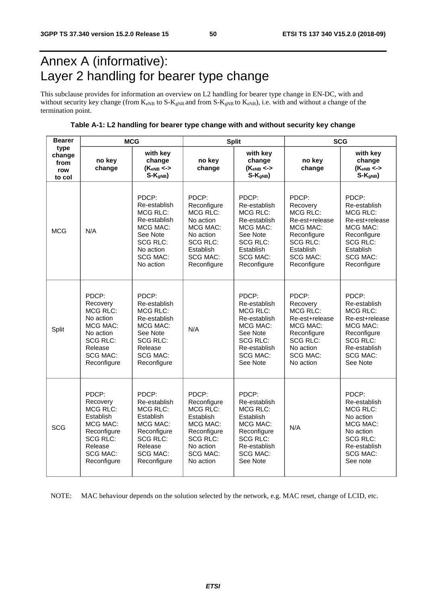# Annex A (informative): Layer 2 handling for bearer type change

This subclause provides for information an overview on L2 handling for bearer type change in EN-DC, with and without security key change (from  $K_{eNB}$  to  $S-K_{gNB}$  and from  $S-K_{gNB}$  to  $K_{eNB}$ ), i.e. with and without a change of the termination point.

**Table A-1: L2 handling for bearer type change with and without security key change** 

| <b>Bearer</b>                           | <b>MCG</b>                                                                                                                                   |                                                                                                                                                  |                                                                                                                                                 | <b>Split</b>                                                                                                                                       | <b>SCG</b>                                                                                                                                   |                                                                                                                                                  |  |
|-----------------------------------------|----------------------------------------------------------------------------------------------------------------------------------------------|--------------------------------------------------------------------------------------------------------------------------------------------------|-------------------------------------------------------------------------------------------------------------------------------------------------|----------------------------------------------------------------------------------------------------------------------------------------------------|----------------------------------------------------------------------------------------------------------------------------------------------|--------------------------------------------------------------------------------------------------------------------------------------------------|--|
| type<br>change<br>from<br>row<br>to col | no key<br>change                                                                                                                             | with key<br>change<br>$(K_{eNB} \lt\gt$<br>$S-K_{gNB}$                                                                                           | no key<br>change                                                                                                                                | with key<br>change<br>$(K_{eNB} \leftarrow$<br>$S-KgNB$                                                                                            | no key<br>change                                                                                                                             | with key<br>change<br>$(K_{eNB} < -$<br>$S-KqNB$                                                                                                 |  |
| <b>MCG</b>                              | N/A                                                                                                                                          | PDCP:<br>Re-establish<br><b>MCG RLC:</b><br>Re-establish<br>MCG MAC:<br>See Note<br><b>SCG RLC:</b><br>No action<br><b>SCG MAC:</b><br>No action | PDCP:<br>Reconfigure<br><b>MCG RLC:</b><br>No action<br>MCG MAC:<br>No action<br><b>SCG RLC:</b><br>Establish<br><b>SCG MAC:</b><br>Reconfigure | PDCP:<br>Re-establish<br><b>MCG RLC:</b><br>Re-establish<br>MCG MAC:<br>See Note<br><b>SCG RLC:</b><br>Establish<br><b>SCG MAC:</b><br>Reconfigure | PDCP:<br>Recovery<br>MCG RLC:<br>Re-est+release<br>MCG MAC:<br>Reconfigure<br><b>SCG RLC:</b><br>Establish<br><b>SCG MAC:</b><br>Reconfigure | PDCP:<br>Re-establish<br>MCG RLC:<br>Re-est+release<br>MCG MAC:<br>Reconfigure<br><b>SCG RLC:</b><br>Establish<br><b>SCG MAC:</b><br>Reconfigure |  |
| Split                                   | PDCP:<br>Recovery<br><b>MCG RLC:</b><br>No action<br>MCG MAC:<br>No action<br><b>SCG RLC:</b><br>Release<br><b>SCG MAC:</b><br>Reconfigure   | PDCP:<br>Re-establish<br>MCG RLC:<br>Re-establish<br>MCG MAC:<br>See Note<br>SCG RLC:<br>Release<br><b>SCG MAC:</b><br>Reconfigure               | N/A                                                                                                                                             | PDCP:<br>Re-establish<br>MCG RLC:<br>Re-establish<br>MCG MAC:<br>See Note<br>SCG RLC:<br>Re-establish<br>SCG MAC:<br>See Note                      | PDCP:<br>Recovery<br><b>MCG RLC:</b><br>Re-est+release<br>MCG MAC:<br>Reconfigure<br>SCG RLC:<br>No action<br><b>SCG MAC:</b><br>No action   | PDCP:<br>Re-establish<br><b>MCG RLC:</b><br>Re-est+release<br>MCG MAC:<br>Reconfigure<br>SCG RLC:<br>Re-establish<br><b>SCG MAC:</b><br>See Note |  |
| <b>SCG</b>                              | PDCP:<br>Recovery<br><b>MCG RLC:</b><br>Establish<br>MCG MAC:<br>Reconfigure<br><b>SCG RLC:</b><br>Release<br><b>SCG MAC:</b><br>Reconfigure | PDCP:<br>Re-establish<br>MCG RLC:<br>Establish<br>MCG MAC:<br>Reconfigure<br><b>SCG RLC:</b><br>Release<br><b>SCG MAC:</b><br>Reconfigure        | PDCP:<br>Reconfigure<br><b>MCG RLC:</b><br>Establish<br>MCG MAC:<br>Reconfigure<br><b>SCG RLC:</b><br>No action<br><b>SCG MAC:</b><br>No action | PDCP:<br>Re-establish<br>MCG RLC:<br>Establish<br>MCG MAC:<br>Reconfigure<br><b>SCG RLC:</b><br>Re-establish<br><b>SCG MAC:</b><br>See Note        | N/A                                                                                                                                          | PDCP:<br>Re-establish<br><b>MCG RLC:</b><br>No action<br>MCG MAC:<br>No action<br><b>SCG RLC:</b><br>Re-establish<br><b>SCG MAC:</b><br>See note |  |

NOTE: MAC behaviour depends on the solution selected by the network, e.g. MAC reset, change of LCID, etc.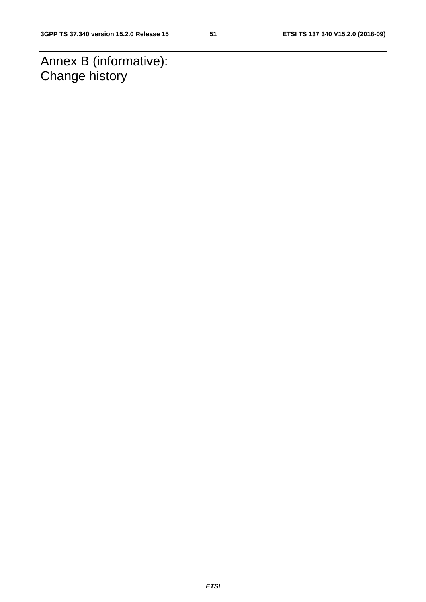Annex B (informative): Change history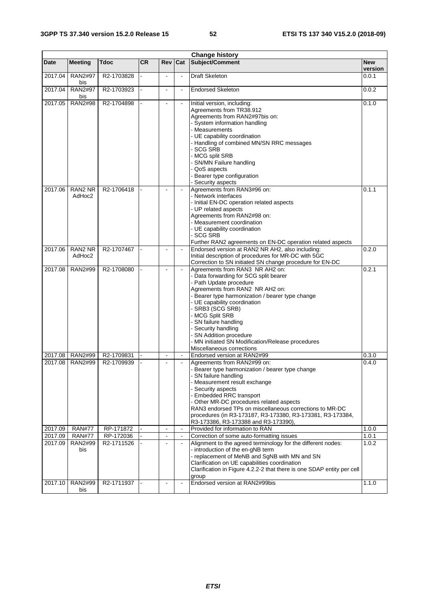|                    | <b>Change history</b> |                          |           |                          |                |                                                                                                                  |                  |  |
|--------------------|-----------------------|--------------------------|-----------|--------------------------|----------------|------------------------------------------------------------------------------------------------------------------|------------------|--|
| <b>Date</b>        | <b>Meeting</b>        | Tdoc                     | <b>CR</b> | Rev                      | Cat            | Subject/Comment                                                                                                  | <b>New</b>       |  |
| 2017.04            | RAN2#97               | R2-1703828               |           | $\blacksquare$           | $\blacksquare$ | <b>Draft Skeleton</b>                                                                                            | version<br>0.0.1 |  |
|                    | bis                   |                          |           |                          |                |                                                                                                                  |                  |  |
| 2017.04            | <b>RAN2#97</b><br>bis | R2-1703923               |           | $\blacksquare$           | $\blacksquare$ | <b>Endorsed Skeleton</b>                                                                                         | 0.0.2            |  |
| 2017.05            | <b>RAN2#98</b>        | R2-1704898               |           | $\blacksquare$           | $\blacksquare$ | Initial version, including:<br>Agreements from TR38.912                                                          | 0.1.0            |  |
|                    |                       |                          |           |                          |                | Agreements from RAN2#97bis on:<br>System information handling                                                    |                  |  |
|                    |                       |                          |           |                          |                | Measurements<br>UE capability coordination                                                                       |                  |  |
|                    |                       |                          |           |                          |                | Handling of combined MN/SN RRC messages<br><b>SCG SRB</b>                                                        |                  |  |
|                    |                       |                          |           |                          |                | MCG split SRB<br>SN/MN Failure handling                                                                          |                  |  |
|                    |                       |                          |           |                          |                | QoS aspects<br>Bearer type configuration                                                                         |                  |  |
|                    |                       |                          |           |                          |                | Security aspects                                                                                                 |                  |  |
| 2017.06            | RAN2 NR<br>AdHoc2     | R2-1706418               |           | ÷                        | $\blacksquare$ | Agreements from RAN3#96 on:<br>Network interfaces                                                                | 0.1.1            |  |
|                    |                       |                          |           |                          |                | - Initial EN-DC operation related aspects                                                                        |                  |  |
|                    |                       |                          |           |                          |                | - UP related aspects                                                                                             |                  |  |
|                    |                       |                          |           |                          |                | Agreements from RAN2#98 on:<br>- Measurement coordination                                                        |                  |  |
|                    |                       |                          |           |                          |                | - UE capability coordination                                                                                     |                  |  |
|                    |                       |                          |           |                          |                | - SCG SRB<br>Further RAN2 agreements on EN-DC operation related aspects                                          |                  |  |
| 2017.06            | RAN2 NR               | R2-1707467               |           | L.                       | $\blacksquare$ | Endorsed version at RAN2 NR AH2, also including:                                                                 | 0.2.0            |  |
|                    | AdHoc2                |                          |           |                          |                | Initial description of procedures for MR-DC with 5GC<br>Correction to SN initiated SN change procedure for EN-DC |                  |  |
| 2017.08            | RAN2#99               | R2-1708080               |           | L.                       | $\blacksquare$ | Agreements from RAN3 NR AH2 on:                                                                                  | 0.2.1            |  |
|                    |                       |                          |           |                          |                | - Data forwarding for SCG split bearer                                                                           |                  |  |
|                    |                       |                          |           |                          |                | - Path Update procedure<br>Agreements from RAN2 NR AH2 on:                                                       |                  |  |
|                    |                       |                          |           |                          |                | - Bearer type harmonization / bearer type change                                                                 |                  |  |
|                    |                       |                          |           |                          |                | - UE capability coordination<br>SRB3 (SCG SRB)                                                                   |                  |  |
|                    |                       |                          |           |                          |                | MCG Split SRB                                                                                                    |                  |  |
|                    |                       |                          |           |                          |                | SN failure handling                                                                                              |                  |  |
|                    |                       |                          |           |                          |                | Security handling<br>SN Addition procedure                                                                       |                  |  |
|                    |                       |                          |           |                          |                | MN initiated SN Modification/Release procedures                                                                  |                  |  |
|                    |                       |                          |           |                          | $\sim$         | Miscellaneous corrections                                                                                        |                  |  |
| 2017.08<br>2017.08 | RAN2#99<br>RAN2#99    | R2-1709831<br>R2-1709939 |           |                          |                | Endorsed version at RAN2#99<br>Agreements from RAN2#99 on:                                                       | 0.3.0<br>0.4.0   |  |
|                    |                       |                          |           |                          |                | - Bearer type harmonization / bearer type change                                                                 |                  |  |
|                    |                       |                          |           |                          |                | SN failure handling<br>Measurement result exchange                                                               |                  |  |
|                    |                       |                          |           |                          |                | Security aspects                                                                                                 |                  |  |
|                    |                       |                          |           |                          |                | <b>Embedded RRC transport</b>                                                                                    |                  |  |
|                    |                       |                          |           |                          |                | Other MR-DC procedures related aspects<br>RAN3 endorsed TPs on miscellaneous corrections to MR-DC                |                  |  |
|                    |                       |                          |           |                          |                | procedures (in R3-173187, R3-173380, R3-173381, R3-173384,                                                       |                  |  |
| 2017.09            | <b>RAN#77</b>         | RP-171872                |           | $\overline{\phantom{a}}$ | $\blacksquare$ | R3-173386, R3-173388 and R3-173390),<br>Provided for information to RAN                                          | 1.0.0            |  |
| 2017.09            | <b>RAN#77</b>         | RP-172036                |           | $\blacksquare$           | $\blacksquare$ | Correction of some auto-formatting issues                                                                        | 1.0.1            |  |
| 2017.09            | RAN2#99               | R2-1711526               |           |                          |                | Alignment to the agreed terminology for the different nodes:                                                     | 1.0.2            |  |
|                    | bis                   |                          |           |                          |                | - introduction of the en-gNB term<br>- replacement of MeNB and SgNB with MN and SN                               |                  |  |
|                    |                       |                          |           |                          |                | Clarification on UE capabilities coordination                                                                    |                  |  |
|                    |                       |                          |           |                          |                | Clarification in Figure 4.2.2-2 that there is one SDAP entity per cell<br>group                                  |                  |  |
| 2017.10            | RAN2#99               | R2-1711937               |           |                          | $\blacksquare$ | Endorsed version at RAN2#99bis                                                                                   | 1.1.0            |  |
|                    | bis                   |                          |           |                          |                |                                                                                                                  |                  |  |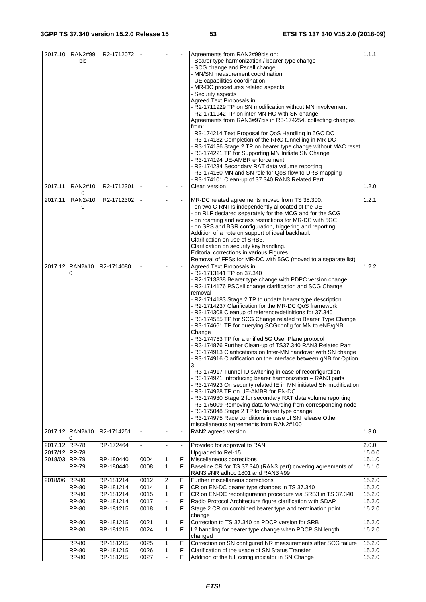| 2017.10       | RAN2#99              | R2-1712072             |              |                          |                | Agreements from RAN2#99bis on:                                                                           | 1.1.1            |
|---------------|----------------------|------------------------|--------------|--------------------------|----------------|----------------------------------------------------------------------------------------------------------|------------------|
|               | bis                  |                        |              |                          |                | - Bearer type harmonization / bearer type change                                                         |                  |
|               |                      |                        |              |                          |                | - SCG change and Pscell change                                                                           |                  |
|               |                      |                        |              |                          |                | - MN/SN measurement coordination                                                                         |                  |
|               |                      |                        |              |                          |                | - UE capabilities coordination                                                                           |                  |
|               |                      |                        |              |                          |                | - MR-DC procedures related aspects                                                                       |                  |
|               |                      |                        |              |                          |                | - Security aspects                                                                                       |                  |
|               |                      |                        |              |                          |                | Agreed Text Proposals in:                                                                                |                  |
|               |                      |                        |              |                          |                | - R2-1711929 TP on SN modification without MN involvement                                                |                  |
|               |                      |                        |              |                          |                | - R2-1711942 TP on inter-MN HO with SN change                                                            |                  |
|               |                      |                        |              |                          |                | Agreements from RAN3#97bis in R3-174254, collecting changes                                              |                  |
|               |                      |                        |              |                          |                | from:                                                                                                    |                  |
|               |                      |                        |              |                          |                | - R3-174214 Text Proposal for QoS Handling in 5GC DC                                                     |                  |
|               |                      |                        |              |                          |                | - R3-174132 Completion of the RRC tunnelling in MR-DC                                                    |                  |
|               |                      |                        |              |                          |                | - R3-174136 Stage 2 TP on bearer type change without MAC reset                                           |                  |
|               |                      |                        |              |                          |                | - R3-174221 TP for Supporting MN Initiate SN Change                                                      |                  |
|               |                      |                        |              |                          |                | - R3-174194 UE-AMBR enforcement                                                                          |                  |
|               |                      |                        |              |                          |                | - R3-174234 Secondary RAT data volume reporting<br>-R3-174160 MN and SN role for QoS flow to DRB mapping |                  |
|               |                      |                        |              |                          |                | - R3-174101 Clean-up of 37.340 RAN3 Related Part                                                         |                  |
| 2017.11       | RAN2#10              | R2-1712301             |              |                          |                | Clean version                                                                                            | 1.2.0            |
|               | 0                    |                        |              |                          |                |                                                                                                          |                  |
| 2017.11       | RAN2#10              | R2-1712302             |              | $\blacksquare$           |                | MR-DC related agreements moved from TS 38.300:                                                           | 1.2.1            |
|               | 0                    |                        |              |                          |                | - on two C-RNTIs independently allocated ot the UE                                                       |                  |
|               |                      |                        |              |                          |                | - on RLF declared separately for the MCG and for the SCG                                                 |                  |
|               |                      |                        |              |                          |                | - on roaming and access restrictions for MR-DC with 5GC                                                  |                  |
|               |                      |                        |              |                          |                | - on SPS and BSR configuration, triggering and reporting                                                 |                  |
|               |                      |                        |              |                          |                | Addition of a note on support of ideal backhaul.                                                         |                  |
|               |                      |                        |              |                          |                | Clarification on use of SRB3.                                                                            |                  |
|               |                      |                        |              |                          |                | Clarification on security key handling.                                                                  |                  |
|               |                      |                        |              |                          |                | Editorial corrections in various Figures                                                                 |                  |
|               |                      |                        |              |                          |                | Removal of FFSs for MR-DC with 5GC (moved to a separate list)                                            |                  |
|               | 2017.12 RAN2#10<br>0 | R2-1714080             |              |                          |                | Agreed Text Proposals in:<br>- R2-1713141 TP on 37.340                                                   | 1.2.2            |
|               |                      |                        |              |                          |                | - R2-1713838 Bearer type change with PDPC version change                                                 |                  |
|               |                      |                        |              |                          |                | - R2-1714176 PSCell change clarification and SCG Change                                                  |                  |
|               |                      |                        |              |                          |                | removal                                                                                                  |                  |
|               |                      |                        |              |                          |                | - R2-1714183 Stage 2 TP to update bearer type description                                                |                  |
|               |                      |                        |              |                          |                | - R2-1714237 Clarification for the MR-DC QoS framework                                                   |                  |
|               |                      |                        |              |                          |                | - R3-174308 Cleanup of reference/definitions for 37.340                                                  |                  |
|               |                      |                        |              |                          |                | - R3-174565 TP for SCG Change related to Bearer Type Change                                              |                  |
|               |                      |                        |              |                          |                | - R3-174661 TP for querying SCGconfig for MN to eNB/gNB                                                  |                  |
|               |                      |                        |              |                          |                | Change                                                                                                   |                  |
|               |                      |                        |              |                          |                | - R3-174763 TP for a unified 5G User Plane protocol                                                      |                  |
|               |                      |                        |              |                          |                | - R3-174876 Further Clean-up of TS37.340 RAN3 Related Part                                               |                  |
|               |                      |                        |              |                          |                | - R3-174913 Clarifications on Inter-MN handover with SN change                                           |                  |
|               |                      |                        |              |                          |                | - R3-174916 Clarification on the interface between gNB for Option                                        |                  |
|               |                      |                        |              |                          |                | 3<br>- R3-174917 Tunnel ID switching in case of reconfiguration                                          |                  |
|               |                      |                        |              |                          |                | - R3-174921 Introducing bearer harmonization - RAN3 parts                                                |                  |
|               |                      |                        |              |                          |                | - R3-174923 On security related IE in MN initiated SN modification                                       |                  |
|               |                      |                        |              |                          |                | - R3-174928 TP on UE-AMBR for EN-DC                                                                      |                  |
|               |                      |                        |              |                          |                | - R3-174930 Stage 2 for secondary RAT data volume reporting                                              |                  |
|               |                      |                        |              |                          |                | - R3-175009 Removing data forwarding from corresponding node                                             |                  |
|               |                      |                        |              |                          |                | - R3-175048 Stage 2 TP for bearer type change                                                            |                  |
|               |                      |                        |              |                          |                | - R3-174975 Race conditions in case of SN release Other                                                  |                  |
|               |                      |                        |              |                          |                | miscellaneous agreements from RAN2#100                                                                   |                  |
|               | 2017.12 RAN2#10      | R2-1714251             | ÷.           | $\overline{\phantom{a}}$ | $\blacksquare$ | RAN2 agreed version                                                                                      | 1.3.0            |
|               | 0                    |                        |              |                          |                |                                                                                                          |                  |
| 2017.12 RP-78 |                      | RP-172464              |              | $\blacksquare$           | $\blacksquare$ | Provided for approval to RAN                                                                             | 2.0.0            |
| 2017/12 RP-78 |                      |                        |              |                          |                | Upgraded to Rel-15                                                                                       | 15.0.0           |
| 2018/03 RP-79 | <b>RP-79</b>         | RP-180440<br>RP-180440 | 0004<br>0008 | 1<br>1                   | F<br>F         | Miscellaneous corrections<br>Baseline CR for TS 37.340 (RAN3 part) covering agreements of                | 15.1.0<br>15.1.0 |
|               |                      |                        |              |                          |                | RAN3 #NR adhoc 1801 and RAN3 #99                                                                         |                  |
| 2018/06 RP-80 |                      | RP-181214              | 0012         | $\overline{c}$           | F              | Further miscellaneus corrections                                                                         | 15.2.0           |
|               | <b>RP-80</b>         | RP-181214              | 0014         | 1                        | F              | CR on EN-DC bearer type changes in TS 37.340                                                             | 15.2.0           |
|               | <b>RP-80</b>         | RP-181214              | 0015         | 1                        | F              | CR on EN-DC reconfiguration procedure via SRB3 in TS 37.340                                              | 15.2.0           |
|               | <b>RP-80</b>         | RP-181214              | 0017         | $\blacksquare$           | F              | Radio Protocol Architecture figure clarification with SDAP                                               | 15.2.0           |
|               | <b>RP-80</b>         | RP-181215              | 0018         | 1                        | F              | Stage 2 CR on combined bearer type and termination point                                                 | 15.2.0           |
|               |                      |                        |              |                          |                | change                                                                                                   |                  |
|               | RP-80                | RP-181215              | 0021         | 1                        | F              | Correction to TS 37.340 on PDCP version for SRB                                                          | 15.2.0           |
|               | <b>RP-80</b>         | RP-181215              | 0024         | $\mathbf{1}$             | F              | L2 handling for bearer type change when PDCP SN length<br>changed                                        | 15.2.0           |
|               | RP-80                | RP-181215              | 0025         | 1                        | F              | Correction on SN configured NR measurements after SCG failure                                            | 15.2.0           |
|               | <b>RP-80</b>         | RP-181215              | 0026         | 1                        | F              | Clarification of the usage of SN Status Transfer                                                         | 15.2.0           |
|               | <b>RP-80</b>         | RP-181215              | 0027         | ä,                       | F              | Addition of the full config indicator in SN Change                                                       | 15.2.0           |
|               |                      |                        |              |                          |                |                                                                                                          |                  |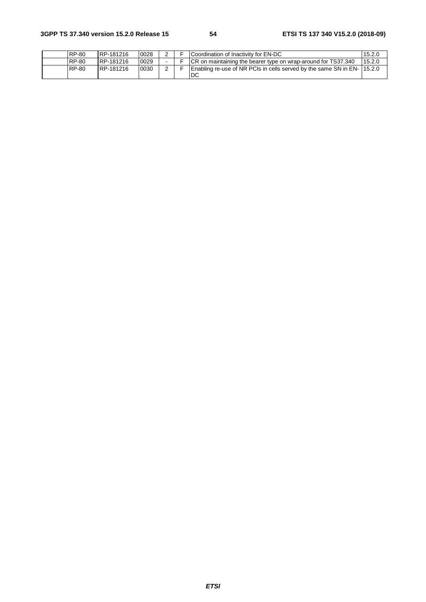| RP-80        | RP-181216 | 0028 |  | Coordination of Inactivity for EN-DC                                         | 15.2.0 |
|--------------|-----------|------|--|------------------------------------------------------------------------------|--------|
| <b>RP-80</b> | RP-181216 | 0029 |  | <b>CR</b> on maintaining the bearer type on wrap-around for TS37.340         | 15.2.0 |
| <b>RP-80</b> | RP-181216 | 0030 |  | Enabling re-use of NR PCIs in cells served by the same SN in EN-15.2.0<br>DC |        |